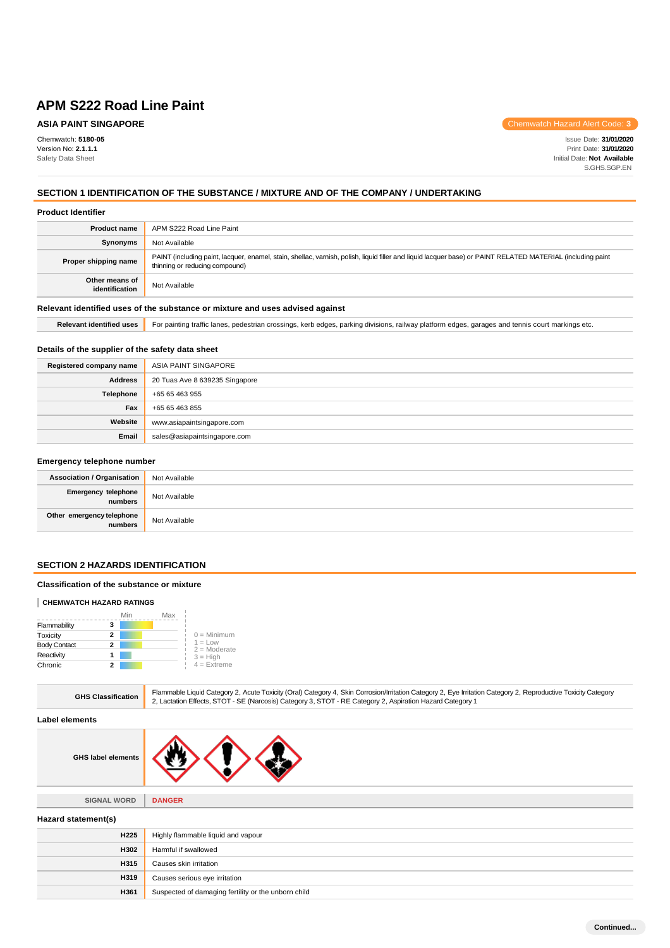# **ASIA PAINT SINGAPORE**

Chemwatch: **5180-05** Version No: **2.1.1.1** Safety Data Sheet

Chemwatch Hazard Alert Code: **3**

Issue Date: **31/01/2020** Print Date: **31/01/2020** Initial Date: **Not Available** S.GHS.SGP.EN

# **SECTION 1 IDENTIFICATION OF THE SUBSTANCE / MIXTURE AND OF THE COMPANY / UNDERTAKING**

### **Product Identifier**

| <b>Product name</b>                                                           | APM S222 Road Line Paint                                                                                                                                                                      |  |
|-------------------------------------------------------------------------------|-----------------------------------------------------------------------------------------------------------------------------------------------------------------------------------------------|--|
| <b>Synonyms</b>                                                               | Not Available                                                                                                                                                                                 |  |
| Proper shipping name                                                          | PAINT (including paint, lacquer, enamel, stain, shellac, varnish, polish, liquid filler and liquid lacquer base) or PAINT RELATED MATERIAL (including paint<br>thinning or reducing compound) |  |
| Other means of<br>identification                                              | Not Available                                                                                                                                                                                 |  |
| Relevant identified uses of the substance or mixture and uses advised against |                                                                                                                                                                                               |  |

# Relevant identified uses **For painting traffic lanes, pedestrian crossings, kerb edges, parking divisions, railway platform edges, garages and tennis court markings etc.**

### **Details of the supplier of the safety data sheet**

| Registered company name | ASIA PAINT SINGAPORE           |
|-------------------------|--------------------------------|
| <b>Address</b>          | 20 Tuas Ave 8 639235 Singapore |
| Telephone               | +65 65 463 955                 |
| Fax                     | +65 65 463 855                 |
| Website                 | www.asiapaintsingapore.com     |
| Email                   | sales@asiapaintsingapore.com   |

# **Emergency telephone number**

| <b>Association / Organisation</b>    | Not Available |
|--------------------------------------|---------------|
| Emergency telephone<br>numbers       | Not Available |
| Other emergency telephone<br>numbers | Not Available |

### **SECTION 2 HAZARDS IDENTIFICATION**

### **Classification of the substance or mixture**

#### **CHEMWATCH HAZARD RATINGS**

|                     |   | Min | Max |                             |
|---------------------|---|-----|-----|-----------------------------|
| Flammability        | 3 |     |     |                             |
| Toxicity            | 2 |     |     | $0 =$ Minimum               |
| <b>Body Contact</b> | 2 |     |     | $1 = Low$<br>$2 =$ Moderate |
| Reactivity          |   |     |     | $3 = High$                  |
| Chronic             | 2 |     |     | $4 =$ Extreme               |

| <b>GHS Classification</b> | Flammable Liquid Category 2, Acute Toxicity (Oral) Category 4, Skin Corrosion/Irritation Category 2, Eye Irritation Category 2, Reproductive Toxicity Category<br>2, Lactation Effects, STOT - SE (Narcosis) Category 3, STOT - RE Category 2, Aspiration Hazard Category 1 |
|---------------------------|-----------------------------------------------------------------------------------------------------------------------------------------------------------------------------------------------------------------------------------------------------------------------------|
| l elements                |                                                                                                                                                                                                                                                                             |

### Labe

| <b>GHS label elements</b> |
|---------------------------|
|---------------------------|

**H361** Suspected of damaging fertility or the unborn child

| <b>SIGNAL WORD</b>  | <b>DANGER</b>                      |  |
|---------------------|------------------------------------|--|
| Hazard statement(s) |                                    |  |
| H <sub>225</sub>    | Highly flammable liquid and vapour |  |
| H302                | Harmful if swallowed               |  |
| <b>H315</b>         | Causes skin irritation             |  |
| H319                | Causes serious eye irritation      |  |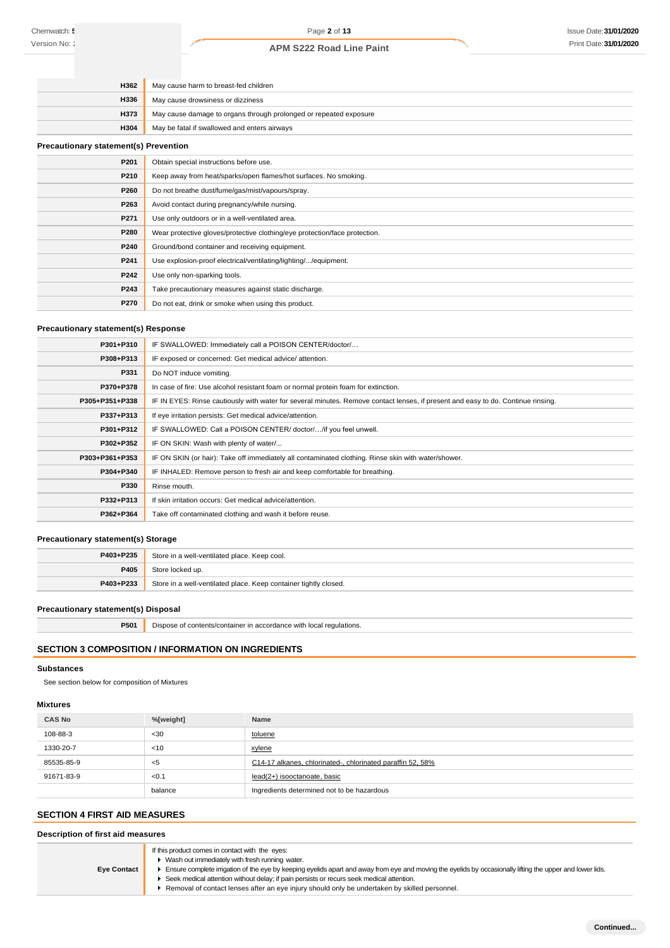| H362                                         | May cause harm to breast-fed children                                      |  |
|----------------------------------------------|----------------------------------------------------------------------------|--|
| H336                                         | May cause drowsiness or dizziness                                          |  |
| H373                                         | May cause damage to organs through prolonged or repeated exposure          |  |
| H304                                         | May be fatal if swallowed and enters airways                               |  |
| <b>Precautionary statement(s) Prevention</b> |                                                                            |  |
| P201                                         | Obtain special instructions before use.                                    |  |
| P210                                         | Keep away from heat/sparks/open flames/hot surfaces. No smoking.           |  |
| P260                                         | Do not breathe dust/fume/gas/mist/vapours/spray.                           |  |
| P263                                         | Avoid contact during pregnancy/while nursing.                              |  |
| P271                                         | Use only outdoors or in a well-ventilated area.                            |  |
| P280                                         | Wear protective gloves/protective clothing/eye protection/face protection. |  |
| P240                                         | Ground/bond container and receiving equipment.                             |  |
| P241                                         | Use explosion-proof electrical/ventilating/lighting//equipment.            |  |
| P242                                         | Use only non-sparking tools.                                               |  |
| P243                                         | Take precautionary measures against static discharge.                      |  |

### **Precautionary statement(s) Response**

| P301+P310      | IF SWALLOWED: Immediately call a POISON CENTER/doctor/                                                                           |
|----------------|----------------------------------------------------------------------------------------------------------------------------------|
| P308+P313      | IF exposed or concerned: Get medical advice/attention.                                                                           |
| P331           | Do NOT induce vomiting.                                                                                                          |
| P370+P378      | In case of fire: Use alcohol resistant foam or normal protein foam for extinction.                                               |
| P305+P351+P338 | IF IN EYES: Rinse cautiously with water for several minutes. Remove contact lenses, if present and easy to do. Continue rinsing. |
| P337+P313      | If eye irritation persists: Get medical advice/attention.                                                                        |
| P301+P312      | IF SWALLOWED: Call a POISON CENTER/ doctor//if you feel unwell.                                                                  |
| P302+P352      | IF ON SKIN: Wash with plenty of water/                                                                                           |
| P303+P361+P353 | IF ON SKIN (or hair): Take off immediately all contaminated clothing. Rinse skin with water/shower.                              |
| P304+P340      | IF INHALED: Remove person to fresh air and keep comfortable for breathing.                                                       |
| P330           | Rinse mouth.                                                                                                                     |
| P332+P313      | If skin irritation occurs: Get medical advice/attention.                                                                         |
| P362+P364      | Take off contaminated clothing and wash it before reuse.                                                                         |

### **Precautionary statement(s) Storage**

| P403+P235 | Store in a well-ventilated place. Keep cool.                     |  |
|-----------|------------------------------------------------------------------|--|
| P405      | Store locked up.                                                 |  |
| P403+P233 | Store in a well-ventilated place. Keep container tightly closed. |  |

# **Precautionary statement(s) Disposal**

**P501** Dispose of contents/container in accordance with local regulations.

**P270** Do not eat, drink or smoke when using this product.

# **SECTION 3 COMPOSITION / INFORMATION ON INGREDIENTS**

### **Substances**

See section below for composition of Mixtures

## **Mixtures**

| <b>CAS No</b> | %[weight] | <b>Name</b>                                                |
|---------------|-----------|------------------------------------------------------------|
| 108-88-3      | $30$      | toluene                                                    |
| 1330-20-7     | $<$ 10    | xylene                                                     |
| 85535-85-9    | - <5      | C14-17 alkanes, chlorinated-, chlorinated paraffin 52, 58% |
| 91671-83-9    | < 0.1     | lead(2+) isooctanoate, basic                               |
|               | balance   | Ingredients determined not to be hazardous                 |

# **SECTION 4 FIRST AID MEASURES**

| If this product comes in contact with the eyes:<br>▶ Wash out immediately with fresh running water.<br>Ensure complete irrigation of the eye by keeping eyelids apart and away from eye and moving the eyelids by occasionally lifting the upper and lower lids.<br><b>Eve Contact</b><br>▶ Seek medical attention without delay; if pain persists or recurs seek medical attention.<br>Removal of contact lenses after an eye injury should only be undertaken by skilled personnel. |
|---------------------------------------------------------------------------------------------------------------------------------------------------------------------------------------------------------------------------------------------------------------------------------------------------------------------------------------------------------------------------------------------------------------------------------------------------------------------------------------|
|---------------------------------------------------------------------------------------------------------------------------------------------------------------------------------------------------------------------------------------------------------------------------------------------------------------------------------------------------------------------------------------------------------------------------------------------------------------------------------------|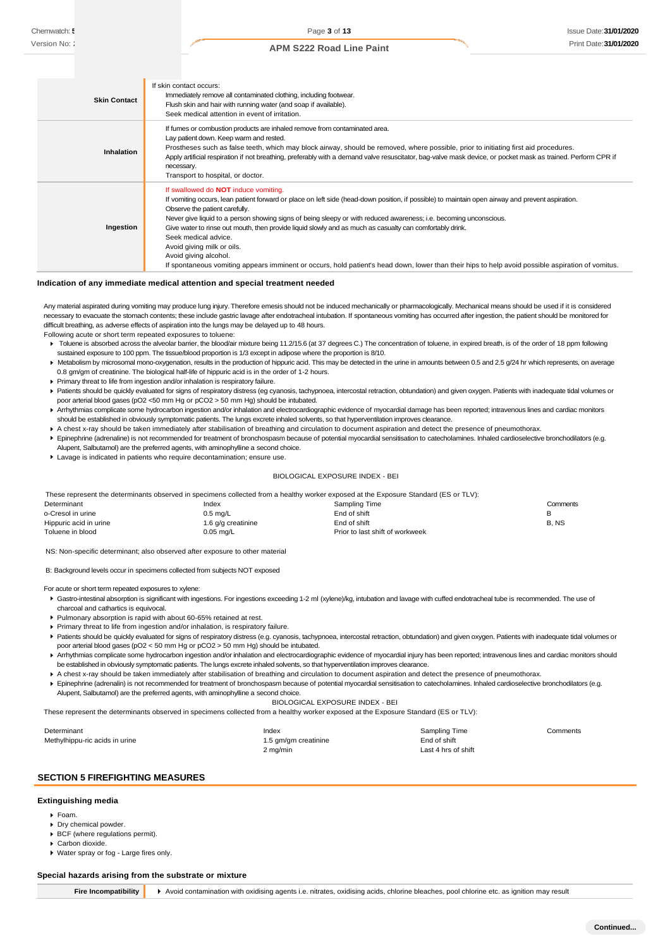| <b>Skin Contact</b> | If skin contact occurs:<br>Immediately remove all contaminated clothing, including footwear.<br>Flush skin and hair with running water (and soap if available).<br>Seek medical attention in event of irritation.                                                                                                                                                                                                                                                                                                                                                                                                                                                                                      |
|---------------------|--------------------------------------------------------------------------------------------------------------------------------------------------------------------------------------------------------------------------------------------------------------------------------------------------------------------------------------------------------------------------------------------------------------------------------------------------------------------------------------------------------------------------------------------------------------------------------------------------------------------------------------------------------------------------------------------------------|
| <b>Inhalation</b>   | If fumes or combustion products are inhaled remove from contaminated area.<br>Lay patient down. Keep warm and rested.<br>Prostheses such as false teeth, which may block airway, should be removed, where possible, prior to initiating first aid procedures.<br>Apply artificial respiration if not breathing, preferably with a demand valve resuscitator, bag-valve mask device, or pocket mask as trained. Perform CPR if<br>necessary.<br>Transport to hospital, or doctor.                                                                                                                                                                                                                       |
| Ingestion           | If swallowed do <b>NOT</b> induce vomiting.<br>If vomiting occurs, lean patient forward or place on left side (head-down position, if possible) to maintain open airway and prevent aspiration.<br>Observe the patient carefully.<br>Never give liquid to a person showing signs of being sleepy or with reduced awareness; i.e. becoming unconscious.<br>Give water to rinse out mouth, then provide liquid slowly and as much as casualty can comfortably drink.<br>Seek medical advice.<br>Avoid giving milk or oils.<br>Avoid giving alcohol.<br>If spontaneous vomiting appears imminent or occurs, hold patient's head down, lower than their hips to help avoid possible aspiration of vomitus. |

#### **Indication of any immediate medical attention and special treatment needed**

Any material aspirated during vomiting may produce lung injury. Therefore emesis should not be induced mechanically or pharmacologically. Mechanical means should be used if it is considered ssary to evacuate the stomach contents; these include gastric lavage after endotracheal intubation. If spontaneous vomiting has occurred after ingestion, the patient should be monitored for difficult breathing, as adverse effects of aspiration into the lungs may be delayed up to 48 hours. Following acute or short term repeated exposures to toluene:

Toluene is absorbed across the alveolar barrier, the blood/air mixture being 11.2/15.6 (at 37 degrees C.) The concentration of toluene, in expired breath, is of the order of 18 ppm following sustained exposure to 100 ppm. The tissue/blood proportion is 1/3 except in adipose where the proportion is 8/10.

- Metabolism by microsomal mono-oxygenation, results in the production of hippuric acid. This may be detected in the urine in amounts between 0.5 and 2.5 g/24 hr which represents, on average 0.8 gm/gm of creatinine. The biological half-life of hippuric acid is in the order of 1-2 hours.
- Primary threat to life from ingestion and/or inhalation is respiratory failure.
- Patients should be quickly evaluated for signs of respiratory distress (eg cyanosis, tachypnoea, intercostal retraction, obtundation) and given oxygen. Patients with inadequate tidal volumes or poor arterial blood gases (pO2 <50 mm Hg or pCO2 > 50 mm Hg) should be intubated.
- Arrhythmias complicate some hydrocarbon ingestion and/or inhalation and electrocardiographic evidence of myocardial damage has been reported; intravenous lines and cardiac monitors should be established in obviously symptomatic patients. The lungs excrete inhaled solvents, so that hyperventilation improves clearance.
- A chest x-ray should be taken immediately after stabilisation of breathing and circulation to document aspiration and detect the presence of pneumothorax.
- Epinephrine (adrenaline) is not recommended for treatment of bronchospasm because of potential myocardial sensitisation to catecholamines. Inhaled cardioselective bronchodilators (e.g. Alupent, Salbutamol) are the preferred agents, with aminophylline a second choice.
- Lavage is indicated in patients who require decontamination; ensure use.

#### BIOLOGICAL EXPOSURE INDEX - BEI

| These represent the determinants observed in specimens collected from a healthy worker exposed at the Exposure Standard (ES or TLV): |                    |                                 |          |
|--------------------------------------------------------------------------------------------------------------------------------------|--------------------|---------------------------------|----------|
| Determinant                                                                                                                          | Index              | Sampling Time                   | Comments |
| o-Cresol in urine                                                                                                                    | $0.5 \text{ ma/L}$ | End of shift                    | в        |
| Hippuric acid in urine                                                                                                               | 1.6 g/g creatinine | End of shift                    | B.NS     |
| Toluene in blood                                                                                                                     | $0.05$ mg/L        | Prior to last shift of workweek |          |

NS: Non-specific determinant; also observed after exposure to other material

B: Background levels occur in specimens collected from subjects NOT exposed

For acute or short term repeated exposures to xylene:

- Gastro-intestinal absorption is significant with ingestions. For ingestions exceeding 1-2 ml (xylene)/kg, intubation and lavage with cuffed endotracheal tube is recommended. The use of charcoal and cathartics is equivocal.
- Pulmonary absorption is rapid with about 60-65% retained at rest.
- Primary threat to life from ingestion and/or inhalation, is respiratory failure.
- Patients should be quickly evaluated for signs of respiratory distress (e.g. cyanosis, tachypnoea, intercostal retraction, obtundation) and given oxygen. Patients with inadequate tidal volumes or poor arterial blood gases (pO2 < 50 mm Hg or pCO2 > 50 mm Hg) should be intubated.
- ▶ Arrhythmias complicate some hydrocarbon ingestion and/or inhalation and electrocardiographic evidence of myocardial injury has been reported; intravenous lines and cardiac monitors should be established in obviously symptomatic patients. The lungs excrete inhaled solvents, so that hyperventilation improves clearance.
- A chest x-ray should be taken immediately after stabilisation of breathing and circulation to document aspiration and detect the presence of pneumothorax.
- Finephrine (adrenalin) is not recommended for treatment of bronchospasm because of potential myocardial sensitisation to catecholamines. Inhaled cardioselective bronchodilators (e.g. Alupent, Salbutamol) are the preferred agents, with aminophylline a second choice.

BIOLOGICAL EXPOSURE INDEX - BEI

These represent the determinants observed in specimens collected from a healthy worker exposed at the Exposure Standard (ES or TLV):

| Determinant                    | Index                | Sampling Time       | Comments |
|--------------------------------|----------------------|---------------------|----------|
| Methylhippu-ric acids in urine | 1.5 gm/gm creatinine | End of shift        |          |
|                                | 2 mg/min             | Last 4 hrs of shift |          |

# **SECTION 5 FIREFIGHTING MEASURES**

#### **Extinguishing media**

- Foam.
- **Dry chemical powder.**
- BCF (where regulations permit).
- Carbon dioxide.

Water spray or fog - Large fires only.

#### **Special hazards arising from the substrate or mixture**

**Fire Incompatibility** > Avoid contamination with oxidising agents i.e. nitrates, oxidising acids, chlorine bleaches, pool chlorine etc. as ignition may result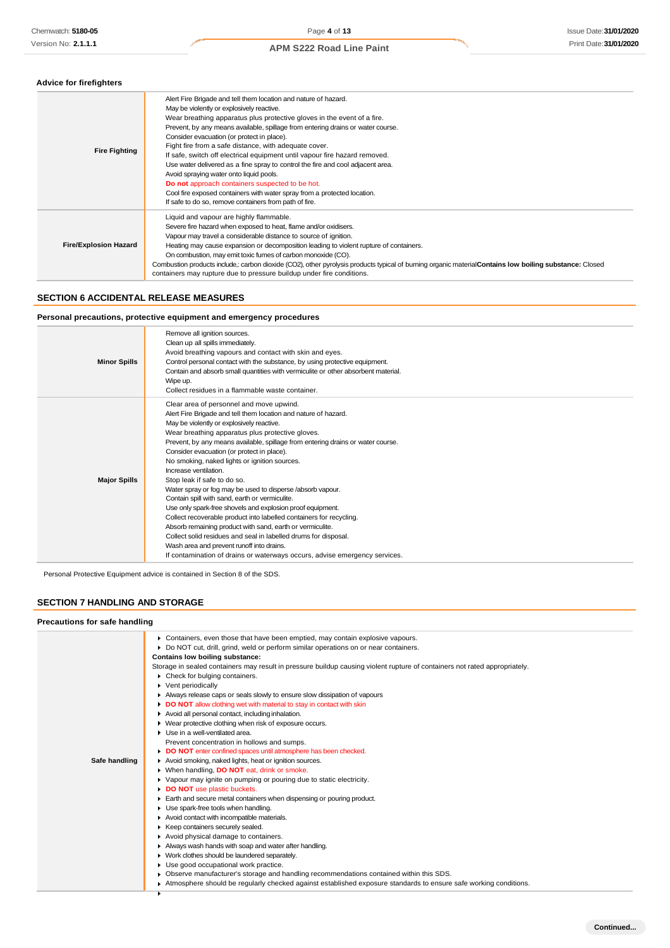### **Advice for firefighters**

| <b>Fire Fighting</b>         | Alert Fire Brigade and tell them location and nature of hazard.<br>May be violently or explosively reactive.<br>Wear breathing apparatus plus protective gloves in the event of a fire.<br>Prevent, by any means available, spillage from entering drains or water course.<br>Consider evacuation (or protect in place).<br>Fight fire from a safe distance, with adequate cover.<br>If safe, switch off electrical equipment until vapour fire hazard removed.<br>Use water delivered as a fine spray to control the fire and cool adjacent area.<br>Avoid spraying water onto liquid pools.<br>Do not approach containers suspected to be hot.<br>Cool fire exposed containers with water spray from a protected location.<br>If safe to do so, remove containers from path of fire. |
|------------------------------|----------------------------------------------------------------------------------------------------------------------------------------------------------------------------------------------------------------------------------------------------------------------------------------------------------------------------------------------------------------------------------------------------------------------------------------------------------------------------------------------------------------------------------------------------------------------------------------------------------------------------------------------------------------------------------------------------------------------------------------------------------------------------------------|
| <b>Fire/Explosion Hazard</b> | Liquid and vapour are highly flammable.<br>Severe fire hazard when exposed to heat, flame and/or oxidisers.<br>Vapour may travel a considerable distance to source of ignition.<br>Heating may cause expansion or decomposition leading to violent rupture of containers.<br>On combustion, may emit toxic fumes of carbon monoxide (CO).<br>Combustion products include,: carbon dioxide (CO2), other pyrolysis products typical of burning organic materialContains low boiling substance: Closed<br>containers may rupture due to pressure buildup under fire conditions.                                                                                                                                                                                                           |

# **SECTION 6 ACCIDENTAL RELEASE MEASURES**

# **Personal precautions, protective equipment and emergency procedures**

| <b>Minor Spills</b> | Remove all ignition sources.<br>Clean up all spills immediately.<br>Avoid breathing vapours and contact with skin and eyes.<br>Control personal contact with the substance, by using protective equipment.<br>Contain and absorb small quantities with vermiculite or other absorbent material.<br>Wipe up.<br>Collect residues in a flammable waste container.                                                                                                                                                                                                                                                                                                                                                                                                                                                                                                                                                                                                        |
|---------------------|------------------------------------------------------------------------------------------------------------------------------------------------------------------------------------------------------------------------------------------------------------------------------------------------------------------------------------------------------------------------------------------------------------------------------------------------------------------------------------------------------------------------------------------------------------------------------------------------------------------------------------------------------------------------------------------------------------------------------------------------------------------------------------------------------------------------------------------------------------------------------------------------------------------------------------------------------------------------|
| <b>Major Spills</b> | Clear area of personnel and move upwind.<br>Alert Fire Brigade and tell them location and nature of hazard.<br>May be violently or explosively reactive.<br>Wear breathing apparatus plus protective gloves.<br>Prevent, by any means available, spillage from entering drains or water course.<br>Consider evacuation (or protect in place).<br>No smoking, naked lights or ignition sources.<br>Increase ventilation.<br>Stop leak if safe to do so.<br>Water spray or fog may be used to disperse /absorb vapour.<br>Contain spill with sand, earth or vermiculite.<br>Use only spark-free shovels and explosion proof equipment.<br>Collect recoverable product into labelled containers for recycling.<br>Absorb remaining product with sand, earth or vermiculite.<br>Collect solid residues and seal in labelled drums for disposal.<br>Wash area and prevent runoff into drains.<br>If contamination of drains or waterways occurs, advise emergency services. |

Personal Protective Equipment advice is contained in Section 8 of the SDS.

# **SECTION 7 HANDLING AND STORAGE**

#### **Precautions for safe handling**

|               | ▶ Containers, even those that have been emptied, may contain explosive vapours.                                            |
|---------------|----------------------------------------------------------------------------------------------------------------------------|
|               | ▶ Do NOT cut, drill, grind, weld or perform similar operations on or near containers.                                      |
|               | Contains low boiling substance:                                                                                            |
|               | Storage in sealed containers may result in pressure buildup causing violent rupture of containers not rated appropriately. |
|               | ▶ Check for bulging containers.                                                                                            |
|               | Vent periodically                                                                                                          |
|               | Always release caps or seals slowly to ensure slow dissipation of vapours                                                  |
|               | DO NOT allow clothing wet with material to stay in contact with skin                                                       |
|               | Avoid all personal contact, including inhalation.                                                                          |
|               | ▶ Wear protective clothing when risk of exposure occurs.                                                                   |
|               | • Use in a well-ventilated area.                                                                                           |
|               | Prevent concentration in hollows and sumps.                                                                                |
|               | DO NOT enter confined spaces until atmosphere has been checked.                                                            |
| Safe handling | Avoid smoking, naked lights, heat or ignition sources.                                                                     |
|               | ▶ When handling, DO NOT eat, drink or smoke.                                                                               |
|               | Vapour may ignite on pumping or pouring due to static electricity.                                                         |
|               | <b>DO NOT</b> use plastic buckets.                                                                                         |
|               | Earth and secure metal containers when dispensing or pouring product.                                                      |
|               | • Use spark-free tools when handling.                                                                                      |
|               | Avoid contact with incompatible materials.                                                                                 |
|               | ▶ Keep containers securely sealed.                                                                                         |
|               | Avoid physical damage to containers.                                                                                       |
|               | Always wash hands with soap and water after handling.                                                                      |
|               | • Work clothes should be laundered separately.                                                                             |
|               | Use good occupational work practice.                                                                                       |
|               | ▶ Observe manufacturer's storage and handling recommendations contained within this SDS.                                   |
|               | Atmosphere should be regularly checked against established exposure standards to ensure safe working conditions.           |
|               |                                                                                                                            |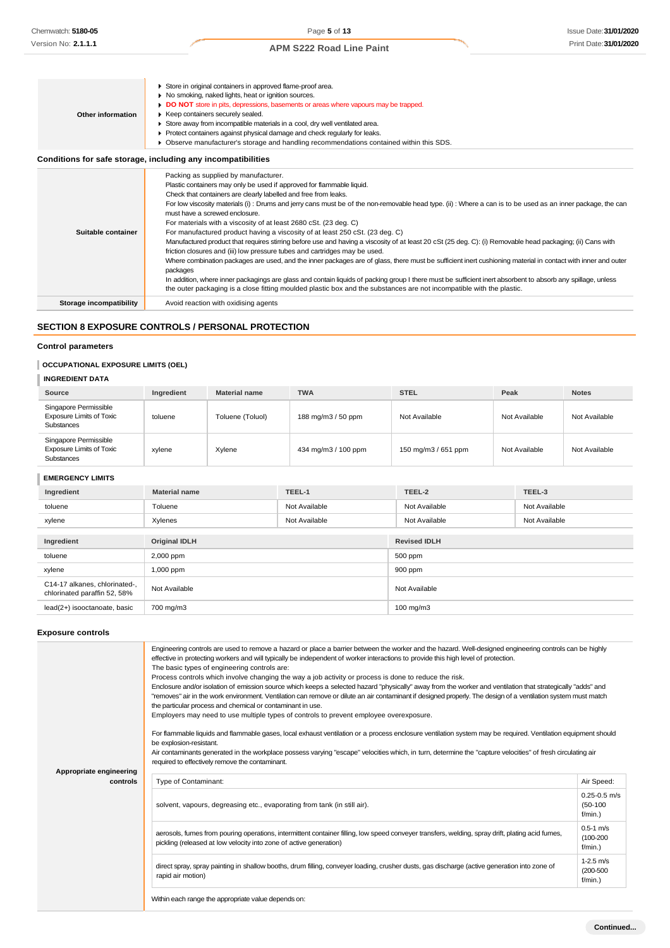| Other information  | Store in original containers in approved flame-proof area.<br>▶ No smoking, naked lights, heat or ignition sources.<br>• DO NOT store in pits, depressions, basements or areas where vapours may be trapped.<br>▶ Keep containers securely sealed.<br>Store away from incompatible materials in a cool, dry well ventilated area.<br>Protect containers against physical damage and check regularly for leaks.<br>▶ Observe manufacturer's storage and handling recommendations contained within this SDS.                                                                                                                                                                                                                                                                                                                                                                                                                                                                                                                                                                                                                                                                                                                                           |
|--------------------|------------------------------------------------------------------------------------------------------------------------------------------------------------------------------------------------------------------------------------------------------------------------------------------------------------------------------------------------------------------------------------------------------------------------------------------------------------------------------------------------------------------------------------------------------------------------------------------------------------------------------------------------------------------------------------------------------------------------------------------------------------------------------------------------------------------------------------------------------------------------------------------------------------------------------------------------------------------------------------------------------------------------------------------------------------------------------------------------------------------------------------------------------------------------------------------------------------------------------------------------------|
|                    | Conditions for safe storage, including any incompatibilities                                                                                                                                                                                                                                                                                                                                                                                                                                                                                                                                                                                                                                                                                                                                                                                                                                                                                                                                                                                                                                                                                                                                                                                         |
| Suitable container | Packing as supplied by manufacturer.<br>Plastic containers may only be used if approved for flammable liquid.<br>Check that containers are clearly labelled and free from leaks.<br>For low viscosity materials (i): Drums and jerry cans must be of the non-removable head type. (ii): Where a can is to be used as an inner package, the can<br>must have a screwed enclosure.<br>For materials with a viscosity of at least 2680 cSt. (23 deg. C)<br>For manufactured product having a viscosity of at least 250 cSt. (23 deg. C)<br>Manufactured product that requires stirring before use and having a viscosity of at least 20 cSt (25 deg. C): (i) Removable head packaging; (ii) Cans with<br>friction closures and (iii) low pressure tubes and cartridges may be used.<br>Where combination packages are used, and the inner packages are of glass, there must be sufficient inert cushioning material in contact with inner and outer<br>packages<br>In addition, where inner packagings are glass and contain liquids of packing group I there must be sufficient inert absorbent to absorb any spillage, unless<br>the outer packaging is a close fitting moulded plastic box and the substances are not incompatible with the plastic. |

**Storage incompatibility** Avoid reaction with oxidising agents

# **SECTION 8 EXPOSURE CONTROLS / PERSONAL PROTECTION**

### **Control parameters**

# **OCCUPATIONAL EXPOSURE LIMITS (OEL)**

## **INGREDIENT DATA**

| Source                                                                 | Ingredient | <b>Material name</b> | <b>TWA</b>          | <b>STEL</b>         | Peak          | <b>Notes</b>  |
|------------------------------------------------------------------------|------------|----------------------|---------------------|---------------------|---------------|---------------|
| Singapore Permissible<br><b>Exposure Limits of Toxic</b><br>Substances | toluene    | Toluene (Toluol)     | 188 mg/m3 / 50 ppm  | Not Available       | Not Available | Not Available |
| Singapore Permissible<br><b>Exposure Limits of Toxic</b><br>Substances | xylene     | Xylene               | 434 mg/m3 / 100 ppm | 150 mg/m3 / 651 ppm | Not Available | Not Available |

# **EMERGENCY LIMITS**

| Ingredient                                                    | <b>Material name</b>     | TEEL-1        | TEEL-2               | TEEL-3        |
|---------------------------------------------------------------|--------------------------|---------------|----------------------|---------------|
| toluene                                                       | Toluene                  | Not Available | Not Available        | Not Available |
| xylene                                                        | Xylenes<br>Not Available |               | Not Available        | Not Available |
|                                                               |                          |               |                      |               |
| Ingredient                                                    | <b>Original IDLH</b>     |               | <b>Revised IDLH</b>  |               |
| toluene                                                       | 2,000 ppm                |               | 500 ppm              |               |
| xylene                                                        | 1,000 ppm                |               | 900 ppm              |               |
| C14-17 alkanes, chlorinated-,<br>chlorinated paraffin 52, 58% | Not Available            |               | Not Available        |               |
| lead(2+) isooctanoate, basic                                  | 700 mg/m3                |               | $100 \text{ mg/m}$ 3 |               |

# **Exposure controls**

| Appropriate engineering | Engineering controls are used to remove a hazard or place a barrier between the worker and the hazard. Well-designed engineering controls can be highly<br>effective in protecting workers and will typically be independent of worker interactions to provide this high level of protection.<br>The basic types of engineering controls are:<br>Process controls which involve changing the way a job activity or process is done to reduce the risk.<br>Enclosure and/or isolation of emission source which keeps a selected hazard "physically" away from the worker and ventilation that strategically "adds" and<br>"removes" air in the work environment. Ventilation can remove or dilute an air contaminant if designed properly. The design of a ventilation system must match<br>the particular process and chemical or contaminant in use.<br>Employers may need to use multiple types of controls to prevent employee overexposure.<br>For flammable liquids and flammable gases, local exhaust ventilation or a process enclosure ventilation system may be required. Ventilation equipment should<br>be explosion-resistant.<br>Air contaminants generated in the workplace possess varying "escape" velocities which, in turn, determine the "capture velocities" of fresh circulating air<br>required to effectively remove the contaminant. |                                              |
|-------------------------|--------------------------------------------------------------------------------------------------------------------------------------------------------------------------------------------------------------------------------------------------------------------------------------------------------------------------------------------------------------------------------------------------------------------------------------------------------------------------------------------------------------------------------------------------------------------------------------------------------------------------------------------------------------------------------------------------------------------------------------------------------------------------------------------------------------------------------------------------------------------------------------------------------------------------------------------------------------------------------------------------------------------------------------------------------------------------------------------------------------------------------------------------------------------------------------------------------------------------------------------------------------------------------------------------------------------------------------------------------------|----------------------------------------------|
| controls                | Type of Contaminant:                                                                                                                                                                                                                                                                                                                                                                                                                                                                                                                                                                                                                                                                                                                                                                                                                                                                                                                                                                                                                                                                                                                                                                                                                                                                                                                                         | Air Speed:                                   |
|                         | solvent, vapours, degreasing etc., evaporating from tank (in still air).                                                                                                                                                                                                                                                                                                                                                                                                                                                                                                                                                                                                                                                                                                                                                                                                                                                                                                                                                                                                                                                                                                                                                                                                                                                                                     | $0.25 - 0.5$ m/s<br>$(50-100)$<br>$f/min.$ ) |
|                         | aerosols, fumes from pouring operations, intermittent container filling, low speed conveyer transfers, welding, spray drift, plating acid fumes,<br>pickling (released at low velocity into zone of active generation)                                                                                                                                                                                                                                                                                                                                                                                                                                                                                                                                                                                                                                                                                                                                                                                                                                                                                                                                                                                                                                                                                                                                       | $0.5 - 1$ m/s<br>$(100-200)$<br>$f/min.$ )   |
|                         | direct spray, spray painting in shallow booths, drum filling, conveyer loading, crusher dusts, gas discharge (active generation into zone of<br>rapid air motion)                                                                                                                                                                                                                                                                                                                                                                                                                                                                                                                                                                                                                                                                                                                                                                                                                                                                                                                                                                                                                                                                                                                                                                                            | $1 - 2.5$ m/s<br>$(200 - 500)$<br>f/min.     |
|                         | Within each range the appropriate value depends on:                                                                                                                                                                                                                                                                                                                                                                                                                                                                                                                                                                                                                                                                                                                                                                                                                                                                                                                                                                                                                                                                                                                                                                                                                                                                                                          |                                              |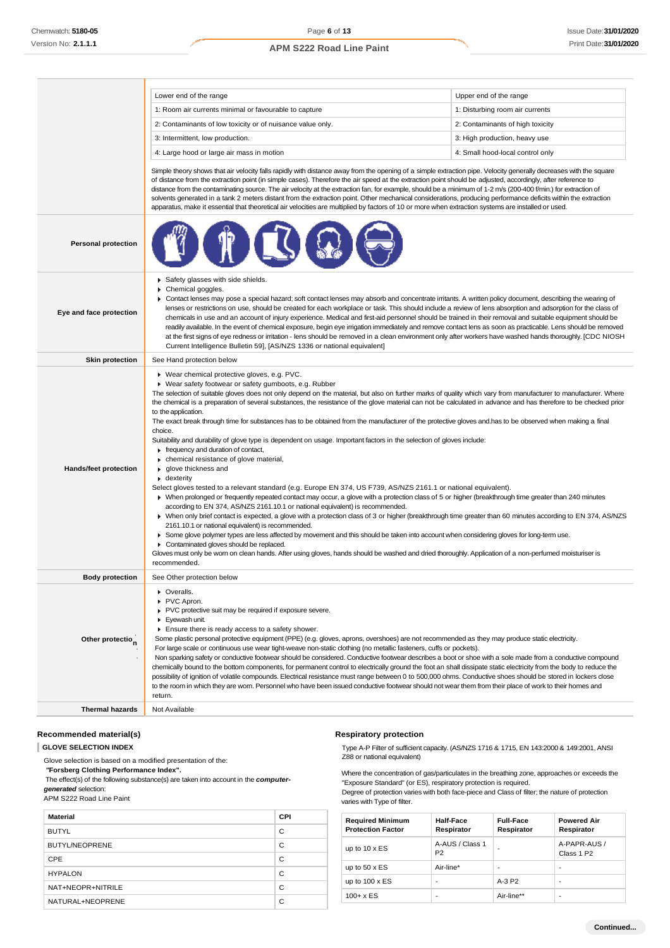|                              | Lower end of the range                                                                                                                                                                                                                                                                                                                                                                                                                                                                                                                                                                                                                                                                                                                                                                                                                                                                                                                                                                                                                                                                                                                                                                                                                                                                                                                                                                                                                                                                                                                                                                                                                                                                                                                                                                                                                                                           | Upper end of the range           |  |  |
|------------------------------|----------------------------------------------------------------------------------------------------------------------------------------------------------------------------------------------------------------------------------------------------------------------------------------------------------------------------------------------------------------------------------------------------------------------------------------------------------------------------------------------------------------------------------------------------------------------------------------------------------------------------------------------------------------------------------------------------------------------------------------------------------------------------------------------------------------------------------------------------------------------------------------------------------------------------------------------------------------------------------------------------------------------------------------------------------------------------------------------------------------------------------------------------------------------------------------------------------------------------------------------------------------------------------------------------------------------------------------------------------------------------------------------------------------------------------------------------------------------------------------------------------------------------------------------------------------------------------------------------------------------------------------------------------------------------------------------------------------------------------------------------------------------------------------------------------------------------------------------------------------------------------|----------------------------------|--|--|
|                              | 1: Room air currents minimal or favourable to capture                                                                                                                                                                                                                                                                                                                                                                                                                                                                                                                                                                                                                                                                                                                                                                                                                                                                                                                                                                                                                                                                                                                                                                                                                                                                                                                                                                                                                                                                                                                                                                                                                                                                                                                                                                                                                            | 1: Disturbing room air currents  |  |  |
|                              | 2: Contaminants of low toxicity or of nuisance value only.                                                                                                                                                                                                                                                                                                                                                                                                                                                                                                                                                                                                                                                                                                                                                                                                                                                                                                                                                                                                                                                                                                                                                                                                                                                                                                                                                                                                                                                                                                                                                                                                                                                                                                                                                                                                                       | 2: Contaminants of high toxicity |  |  |
|                              | 3: Intermittent, low production.                                                                                                                                                                                                                                                                                                                                                                                                                                                                                                                                                                                                                                                                                                                                                                                                                                                                                                                                                                                                                                                                                                                                                                                                                                                                                                                                                                                                                                                                                                                                                                                                                                                                                                                                                                                                                                                 | 3: High production, heavy use    |  |  |
|                              | 4: Large hood or large air mass in motion                                                                                                                                                                                                                                                                                                                                                                                                                                                                                                                                                                                                                                                                                                                                                                                                                                                                                                                                                                                                                                                                                                                                                                                                                                                                                                                                                                                                                                                                                                                                                                                                                                                                                                                                                                                                                                        | 4: Small hood-local control only |  |  |
|                              | Simple theory shows that air velocity falls rapidly with distance away from the opening of a simple extraction pipe. Velocity generally decreases with the square<br>of distance from the extraction point (in simple cases). Therefore the air speed at the extraction point should be adjusted, accordingly, after reference to<br>distance from the contaminating source. The air velocity at the extraction fan, for example, should be a minimum of 1-2 m/s (200-400 f/min.) for extraction of<br>solvents generated in a tank 2 meters distant from the extraction point. Other mechanical considerations, producing performance deficits within the extraction<br>apparatus, make it essential that theoretical air velocities are multiplied by factors of 10 or more when extraction systems are installed or used.                                                                                                                                                                                                                                                                                                                                                                                                                                                                                                                                                                                                                                                                                                                                                                                                                                                                                                                                                                                                                                                     |                                  |  |  |
| <b>Personal protection</b>   |                                                                                                                                                                                                                                                                                                                                                                                                                                                                                                                                                                                                                                                                                                                                                                                                                                                                                                                                                                                                                                                                                                                                                                                                                                                                                                                                                                                                                                                                                                                                                                                                                                                                                                                                                                                                                                                                                  |                                  |  |  |
| Eye and face protection      | Safety glasses with side shields.<br>Chemical goggles.<br>▶ Contact lenses may pose a special hazard; soft contact lenses may absorb and concentrate irritants. A written policy document, describing the wearing of<br>lenses or restrictions on use, should be created for each workplace or task. This should include a review of lens absorption and adsorption for the class of<br>chemicals in use and an account of injury experience. Medical and first-aid personnel should be trained in their removal and suitable equipment should be<br>readily available. In the event of chemical exposure, begin eye irrigation immediately and remove contact lens as soon as practicable. Lens should be removed<br>at the first signs of eye redness or irritation - lens should be removed in a clean environment only after workers have washed hands thoroughly. [CDC NIOSH<br>Current Intelligence Bulletin 59], [AS/NZS 1336 or national equivalent]                                                                                                                                                                                                                                                                                                                                                                                                                                                                                                                                                                                                                                                                                                                                                                                                                                                                                                                     |                                  |  |  |
| <b>Skin protection</b>       | See Hand protection below                                                                                                                                                                                                                                                                                                                                                                                                                                                                                                                                                                                                                                                                                                                                                                                                                                                                                                                                                                                                                                                                                                                                                                                                                                                                                                                                                                                                                                                                                                                                                                                                                                                                                                                                                                                                                                                        |                                  |  |  |
| <b>Hands/feet protection</b> | ▶ Wear chemical protective gloves, e.g. PVC.<br>▶ Wear safety footwear or safety gumboots, e.g. Rubber<br>The selection of suitable gloves does not only depend on the material, but also on further marks of quality which vary from manufacturer to manufacturer. Where<br>the chemical is a preparation of several substances, the resistance of the glove material can not be calculated in advance and has therefore to be checked prior<br>to the application.<br>The exact break through time for substances has to be obtained from the manufacturer of the protective gloves and has to be observed when making a final<br>choice.<br>Suitability and durability of glove type is dependent on usage. Important factors in the selection of gloves include:<br>$\blacktriangleright$ frequency and duration of contact,<br>• chemical resistance of glove material,<br>▶ glove thickness and<br>$\bullet$ dexterity<br>Select gloves tested to a relevant standard (e.g. Europe EN 374, US F739, AS/NZS 2161.1 or national equivalent).<br>> When prolonged or frequently repeated contact may occur, a glove with a protection class of 5 or higher (breakthrough time greater than 240 minutes<br>according to EN 374, AS/NZS 2161.10.1 or national equivalent) is recommended.<br>> When only brief contact is expected, a glove with a protection class of 3 or higher (breakthrough time greater than 60 minutes according to EN 374, AS/NZS<br>2161.10.1 or national equivalent) is recommended.<br>▶ Some glove polymer types are less affected by movement and this should be taken into account when considering gloves for long-term use.<br>Contaminated gloves should be replaced.<br>Gloves must only be wom on clean hands. After using gloves, hands should be washed and dried thoroughly. Application of a non-perfumed moisturiser is<br>recommended. |                                  |  |  |
| <b>Body protection</b>       | See Other protection below                                                                                                                                                                                                                                                                                                                                                                                                                                                                                                                                                                                                                                                                                                                                                                                                                                                                                                                                                                                                                                                                                                                                                                                                                                                                                                                                                                                                                                                                                                                                                                                                                                                                                                                                                                                                                                                       |                                  |  |  |
| Other protectio <sub>n</sub> | • Overalls.<br>PVC Apron.<br>PVC protective suit may be required if exposure severe.<br>Eyewash unit.<br>Ensure there is ready access to a safety shower.<br>Some plastic personal protective equipment (PPE) (e.g. gloves, aprons, overshoes) are not recommended as they may produce static electricity.<br>For large scale or continuous use wear tight-weave non-static clothing (no metallic fasteners, cuffs or pockets).<br>Non sparking safety or conductive footwear should be considered. Conductive footwear describes a boot or shoe with a sole made from a conductive compound<br>chemically bound to the bottom components, for permanent control to electrically ground the foot an shall dissipate static electricity from the body to reduce the<br>possibility of ignition of volatile compounds. Electrical resistance must range between 0 to 500,000 ohms. Conductive shoes should be stored in lockers close<br>to the room in which they are worn. Personnel who have been issued conductive footwear should not wear them from their place of work to their homes and                                                                                                                                                                                                                                                                                                                                                                                                                                                                                                                                                                                                                                                                                                                                                                                   |                                  |  |  |
|                              | return.                                                                                                                                                                                                                                                                                                                                                                                                                                                                                                                                                                                                                                                                                                                                                                                                                                                                                                                                                                                                                                                                                                                                                                                                                                                                                                                                                                                                                                                                                                                                                                                                                                                                                                                                                                                                                                                                          |                                  |  |  |
| <b>Thermal hazards</b>       | Not Available                                                                                                                                                                                                                                                                                                                                                                                                                                                                                                                                                                                                                                                                                                                                                                                                                                                                                                                                                                                                                                                                                                                                                                                                                                                                                                                                                                                                                                                                                                                                                                                                                                                                                                                                                                                                                                                                    |                                  |  |  |

### **Recommended material(s)**

# **GLOVE SELECTION INDEX**

Glove selection is based on a modified presentation of the:

*"***Forsberg Clothing Performance Index".**

The effect(s) of the following substance(s) are taken into account in the *computergenerated* selection:

#### APM S222 Road Line Paint

| <b>Material</b>       | <b>CPI</b> |
|-----------------------|------------|
| <b>BUTYL</b>          | С          |
| <b>BUTYL/NEOPRENE</b> | C          |
| CPE                   | С          |
| <b>HYPALON</b>        | С          |
| NAT+NEOPR+NITRILE     | С          |
| NATURAL+NEOPRENE      | C          |

# **Respiratory protection**

Type A-P Filter of sufficient capacity. (AS/NZS 1716 & 1715, EN 143:2000 & 149:2001, ANSI Z88 or national equivalent)

Where the concentration of gas/particulates in the breathing zone, approaches or exceeds the "Exposure Standard" (or ES), respiratory protection is required.

Degree of protection varies with both face-piece and Class of filter; the nature of protection varies with Type of filter.

| <b>Required Minimum</b><br><b>Protection Factor</b> | Half-Face<br>Respirator           | <b>Full-Face</b><br>Respirator | <b>Powered Air</b><br>Respirator       |
|-----------------------------------------------------|-----------------------------------|--------------------------------|----------------------------------------|
| up to $10 \times ES$                                | A-AUS / Class 1<br>P <sub>2</sub> | ۰                              | A-PAPR-AUS /<br>Class 1 P <sub>2</sub> |
| up to $50 \times ES$                                | Air-line*                         | ۰                              | $\overline{\phantom{a}}$               |
| up to $100 \times ES$                               | -                                 | $A-3P2$                        | ۰                                      |
| $100 + x ES$                                        | -                                 | Air-line**                     | ۰                                      |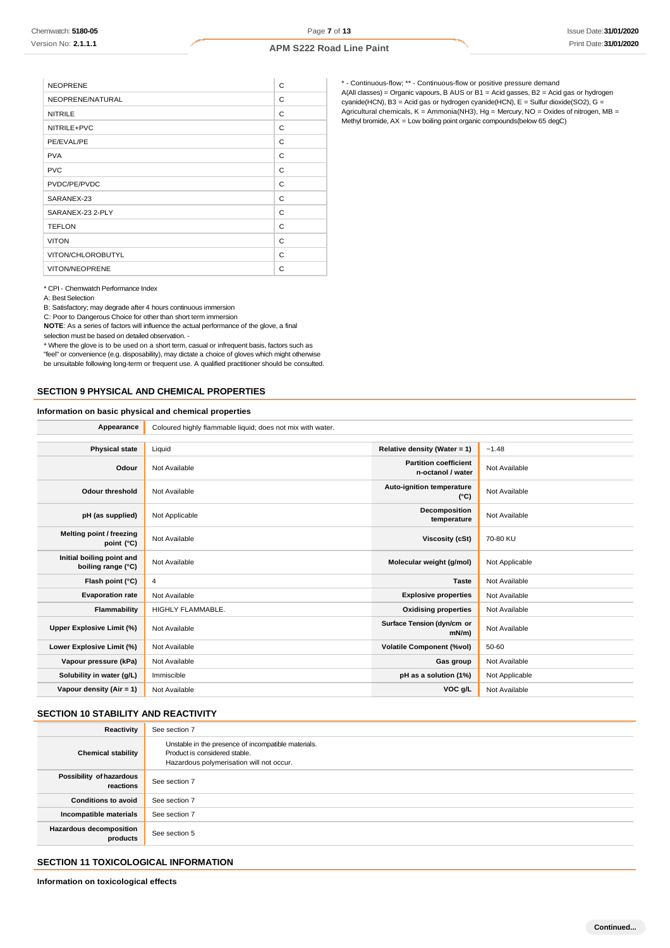| C<br>C<br>C<br>C |
|------------------|
|                  |
|                  |
|                  |
|                  |
| C                |
| C                |
| C                |
| C                |
| C                |
| C                |
| C                |
| C                |
| C                |
|                  |

\* - Continuous-flow; \*\* - Continuous-flow or positive pressure demand A(All classes) = Organic vapours, B AUS or  $B1$  = Acid gasses, B2 = Acid gas or hydrogen cyanide(HCN), B3 = Acid gas or hydrogen cyanide(HCN), E = Sulfur dioxide(SO2), G = Agricultural chemicals, K = Ammonia(NH3), Hg = Mercury, NO = Oxides of nitrogen, MB = Methyl bromide, AX = Low boiling point organic compounds(below 65 degC)

#### \* CPI - Chemwatch Performance Index

A: Best Selection

B: Satisfactory; may degrade after 4 hours continuous immersion

C: Poor to Dangerous Choice for other than short term immersion

**NOTE**: As a series of factors will influence the actual performance of the glove, a final

selection must be based on detailed observation. -

\* Where the glove is to be used on a short term, casual or infrequent basis, factors such as

"feel" or convenience (e.g. disposability), may dictate a choice of gloves which might otherwise be unsuitable following long-term or frequent use. A qualified practitioner should be consulted.

### **SECTION 9 PHYSICAL AND CHEMICAL PROPERTIES**

#### **Information on basic physical and chemical properties**

| Appearance                                      | Coloured highly flammable liquid; does not mix with water. |                                                   |                |
|-------------------------------------------------|------------------------------------------------------------|---------------------------------------------------|----------------|
|                                                 |                                                            |                                                   |                |
| <b>Physical state</b>                           | Liquid                                                     | Relative density (Water = 1)                      | $-1.48$        |
| Odour                                           | Not Available                                              | <b>Partition coefficient</b><br>n-octanol / water | Not Available  |
| <b>Odour threshold</b>                          | Not Available                                              | Auto-ignition temperature<br>$(^{\circ}C)$        | Not Available  |
| pH (as supplied)                                | Not Applicable                                             | Decomposition<br>temperature                      | Not Available  |
| Melting point / freezing<br>point (°C)          | Not Available                                              | <b>Viscosity (cSt)</b>                            | 70-80 KU       |
| Initial boiling point and<br>boiling range (°C) | Not Available                                              | Molecular weight (g/mol)                          | Not Applicable |
| Flash point (°C)                                | 4                                                          | <b>Taste</b>                                      | Not Available  |
| <b>Evaporation rate</b>                         | Not Available                                              | <b>Explosive properties</b>                       | Not Available  |
| Flammability                                    | HIGHLY FLAMMABLE.                                          | <b>Oxidising properties</b>                       | Not Available  |
| Upper Explosive Limit (%)                       | Not Available                                              | Surface Tension (dyn/cm or<br>$mN/m$ )            | Not Available  |
| Lower Explosive Limit (%)                       | Not Available                                              | <b>Volatile Component (%vol)</b>                  | 50-60          |
| Vapour pressure (kPa)                           | Not Available                                              | Gas group                                         | Not Available  |
| Solubility in water (g/L)                       | Immiscible                                                 | pH as a solution (1%)                             | Not Applicable |
| Vapour density (Air = 1)                        | Not Available                                              | VOC g/L                                           | Not Available  |

### **SECTION 10 STABILITY AND REACTIVITY**

| Reactivity                            | See section 7                                                                                                                    |
|---------------------------------------|----------------------------------------------------------------------------------------------------------------------------------|
| <b>Chemical stability</b>             | Unstable in the presence of incompatible materials.<br>Product is considered stable.<br>Hazardous polymerisation will not occur. |
| Possibility of hazardous<br>reactions | See section 7                                                                                                                    |
| <b>Conditions to avoid</b>            | See section 7                                                                                                                    |
| Incompatible materials                | See section 7                                                                                                                    |
| Hazardous decomposition<br>products   | See section 5                                                                                                                    |

# **SECTION 11 TOXICOLOGICAL INFORMATION**

**Information on toxicological effects**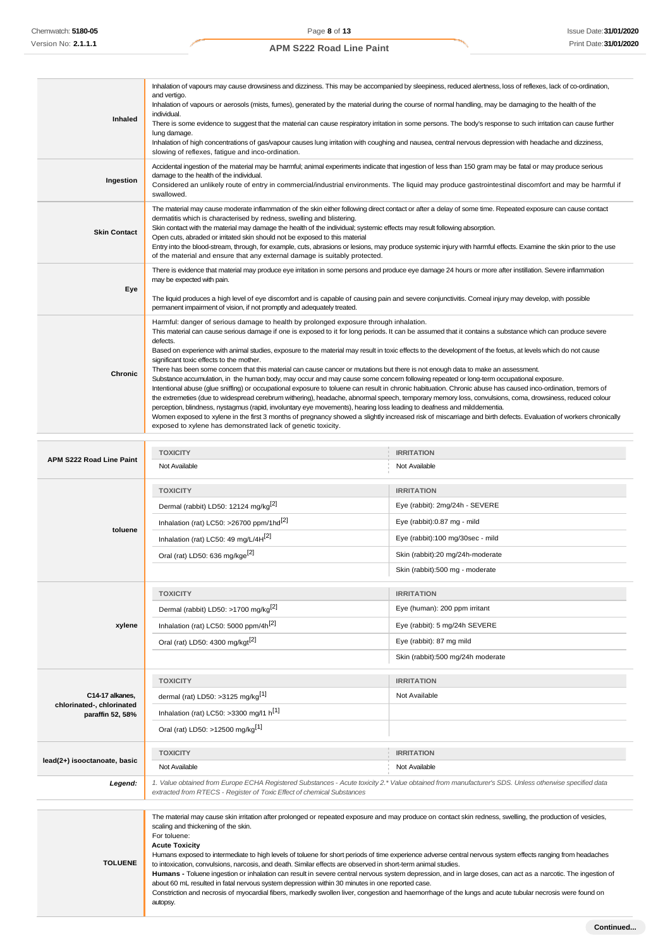$\overline{\mathcal{L}^{\mathcal{A}}_{\mathcal{A}}}$ 

**APM S222 Road Line Paint**

| Inhaled                                      | Inhalation of vapours may cause drowsiness and dizziness. This may be accompanied by sleepiness, reduced alertness, loss of reflexes, lack of co-ordination,<br>and vertigo.<br>Inhalation of vapours or aerosols (mists, fumes), generated by the material during the course of normal handling, may be damaging to the health of the<br>individual.<br>There is some evidence to suggest that the material can cause respiratory irritation in some persons. The body's response to such irritation can cause further<br>lung damage.<br>Inhalation of high concentrations of gas/vapour causes lung irritation with coughing and nausea, central nervous depression with headache and dizziness,<br>slowing of reflexes, fatigue and inco-ordination.                                                                                                                                                                                                                                                                                                                                                                                                                                                                                                                                                                                                                                                                                        |                                   |
|----------------------------------------------|-------------------------------------------------------------------------------------------------------------------------------------------------------------------------------------------------------------------------------------------------------------------------------------------------------------------------------------------------------------------------------------------------------------------------------------------------------------------------------------------------------------------------------------------------------------------------------------------------------------------------------------------------------------------------------------------------------------------------------------------------------------------------------------------------------------------------------------------------------------------------------------------------------------------------------------------------------------------------------------------------------------------------------------------------------------------------------------------------------------------------------------------------------------------------------------------------------------------------------------------------------------------------------------------------------------------------------------------------------------------------------------------------------------------------------------------------|-----------------------------------|
| Ingestion                                    | Accidental ingestion of the material may be harmful; animal experiments indicate that ingestion of less than 150 gram may be fatal or may produce serious<br>damage to the health of the individual.<br>Considered an unlikely route of entry in commercial/industrial environments. The liquid may produce gastrointestinal discomfort and may be harmful if<br>swallowed.                                                                                                                                                                                                                                                                                                                                                                                                                                                                                                                                                                                                                                                                                                                                                                                                                                                                                                                                                                                                                                                                     |                                   |
| <b>Skin Contact</b>                          | The material may cause moderate inflammation of the skin either following direct contact or after a delay of some time. Repeated exposure can cause contact<br>dermatitis which is characterised by redness, swelling and blistering.<br>Skin contact with the material may damage the health of the individual; systemic effects may result following absorption.<br>Open cuts, abraded or irritated skin should not be exposed to this material<br>Entry into the blood-stream, through, for example, cuts, abrasions or lesions, may produce systemic injury with harmful effects. Examine the skin prior to the use<br>of the material and ensure that any external damage is suitably protected.                                                                                                                                                                                                                                                                                                                                                                                                                                                                                                                                                                                                                                                                                                                                           |                                   |
|                                              | There is evidence that material may produce eye irritation in some persons and produce eye damage 24 hours or more after instillation. Severe inflammation<br>may be expected with pain.                                                                                                                                                                                                                                                                                                                                                                                                                                                                                                                                                                                                                                                                                                                                                                                                                                                                                                                                                                                                                                                                                                                                                                                                                                                        |                                   |
| Eye                                          | The liquid produces a high level of eye discomfort and is capable of causing pain and severe conjunctivitis. Comeal injury may develop, with possible<br>permanent impairment of vision, if not promptly and adequately treated.                                                                                                                                                                                                                                                                                                                                                                                                                                                                                                                                                                                                                                                                                                                                                                                                                                                                                                                                                                                                                                                                                                                                                                                                                |                                   |
| Chronic                                      | Harmful: danger of serious damage to health by prolonged exposure through inhalation.<br>This material can cause serious damage if one is exposed to it for long periods. It can be assumed that it contains a substance which can produce severe<br>defects.<br>Based on experience with animal studies, exposure to the material may result in toxic effects to the development of the foetus, at levels which do not cause<br>significant toxic effects to the mother.<br>There has been some concem that this material can cause cancer or mutations but there is not enough data to make an assessment.<br>Substance accumulation, in the human body, may occur and may cause some concem following repeated or long-term occupational exposure.<br>Intentional abuse (glue sniffing) or occupational exposure to toluene can result in chronic habituation. Chronic abuse has caused inco-ordination, tremors of<br>the extremeties (due to widespread cerebrum withering), headache, abnormal speech, temporary memory loss, convulsions, coma, drowsiness, reduced colour<br>perception, blindness, nystagmus (rapid, involuntary eye movements), hearing loss leading to deafness and milddementia.<br>Women exposed to xylene in the first 3 months of pregnancy showed a slightly increased risk of miscarriage and birth defects. Evaluation of workers chronically<br>exposed to xylene has demonstrated lack of genetic toxicity. |                                   |
|                                              | <b>TOXICITY</b>                                                                                                                                                                                                                                                                                                                                                                                                                                                                                                                                                                                                                                                                                                                                                                                                                                                                                                                                                                                                                                                                                                                                                                                                                                                                                                                                                                                                                                 | <b>IRRITATION</b>                 |
| APM S222 Road Line Paint                     | Not Available                                                                                                                                                                                                                                                                                                                                                                                                                                                                                                                                                                                                                                                                                                                                                                                                                                                                                                                                                                                                                                                                                                                                                                                                                                                                                                                                                                                                                                   | Not Available                     |
|                                              | <b>TOXICITY</b>                                                                                                                                                                                                                                                                                                                                                                                                                                                                                                                                                                                                                                                                                                                                                                                                                                                                                                                                                                                                                                                                                                                                                                                                                                                                                                                                                                                                                                 | <b>IRRITATION</b>                 |
|                                              | Dermal (rabbit) LD50: 12124 mg/kg <sup>[2]</sup>                                                                                                                                                                                                                                                                                                                                                                                                                                                                                                                                                                                                                                                                                                                                                                                                                                                                                                                                                                                                                                                                                                                                                                                                                                                                                                                                                                                                | Eye (rabbit): 2mg/24h - SEVERE    |
|                                              | Inhalation (rat) LC50: >26700 ppm/1hd <sup>[2]</sup>                                                                                                                                                                                                                                                                                                                                                                                                                                                                                                                                                                                                                                                                                                                                                                                                                                                                                                                                                                                                                                                                                                                                                                                                                                                                                                                                                                                            | Eye (rabbit):0.87 mg - mild       |
| toluene                                      | Inhalation (rat) LC50: 49 mg/L/4H <sup>[2]</sup>                                                                                                                                                                                                                                                                                                                                                                                                                                                                                                                                                                                                                                                                                                                                                                                                                                                                                                                                                                                                                                                                                                                                                                                                                                                                                                                                                                                                | Eye (rabbit):100 mg/30sec - mild  |
|                                              | Oral (rat) LD50: 636 mg/kge <sup>[2]</sup>                                                                                                                                                                                                                                                                                                                                                                                                                                                                                                                                                                                                                                                                                                                                                                                                                                                                                                                                                                                                                                                                                                                                                                                                                                                                                                                                                                                                      | Skin (rabbit):20 mg/24h-moderate  |
|                                              |                                                                                                                                                                                                                                                                                                                                                                                                                                                                                                                                                                                                                                                                                                                                                                                                                                                                                                                                                                                                                                                                                                                                                                                                                                                                                                                                                                                                                                                 | Skin (rabbit):500 mg - moderate   |
|                                              | <b>TOXICITY</b>                                                                                                                                                                                                                                                                                                                                                                                                                                                                                                                                                                                                                                                                                                                                                                                                                                                                                                                                                                                                                                                                                                                                                                                                                                                                                                                                                                                                                                 | <b>IRRITATION</b>                 |
|                                              | Dermal (rabbit) LD50: >1700 mg/kg <sup>[2]</sup>                                                                                                                                                                                                                                                                                                                                                                                                                                                                                                                                                                                                                                                                                                                                                                                                                                                                                                                                                                                                                                                                                                                                                                                                                                                                                                                                                                                                | Eye (human): 200 ppm irritant     |
| xylene                                       | Inhalation (rat) LC50: 5000 ppm/4h <sup>[2]</sup>                                                                                                                                                                                                                                                                                                                                                                                                                                                                                                                                                                                                                                                                                                                                                                                                                                                                                                                                                                                                                                                                                                                                                                                                                                                                                                                                                                                               | Eye (rabbit): 5 mg/24h SEVERE     |
|                                              | Oral (rat) LD50: 4300 mg/kgt <sup>[2]</sup>                                                                                                                                                                                                                                                                                                                                                                                                                                                                                                                                                                                                                                                                                                                                                                                                                                                                                                                                                                                                                                                                                                                                                                                                                                                                                                                                                                                                     | Eye (rabbit): 87 mg mild          |
|                                              |                                                                                                                                                                                                                                                                                                                                                                                                                                                                                                                                                                                                                                                                                                                                                                                                                                                                                                                                                                                                                                                                                                                                                                                                                                                                                                                                                                                                                                                 | Skin (rabbit):500 mg/24h moderate |
|                                              | <b>TOXICITY</b>                                                                                                                                                                                                                                                                                                                                                                                                                                                                                                                                                                                                                                                                                                                                                                                                                                                                                                                                                                                                                                                                                                                                                                                                                                                                                                                                                                                                                                 | <b>IRRITATION</b>                 |
| C14-17 alkanes,<br>chlorinated-, chlorinated | dermal (rat) LD50: >3125 mg/kg <sup>[1]</sup>                                                                                                                                                                                                                                                                                                                                                                                                                                                                                                                                                                                                                                                                                                                                                                                                                                                                                                                                                                                                                                                                                                                                                                                                                                                                                                                                                                                                   | Not Available                     |
| paraffin 52, 58%                             | Inhalation (rat) LC50: >3300 mg/l1 h[1]                                                                                                                                                                                                                                                                                                                                                                                                                                                                                                                                                                                                                                                                                                                                                                                                                                                                                                                                                                                                                                                                                                                                                                                                                                                                                                                                                                                                         |                                   |
|                                              | Oral (rat) LD50: >12500 mg/kg <sup>[1]</sup>                                                                                                                                                                                                                                                                                                                                                                                                                                                                                                                                                                                                                                                                                                                                                                                                                                                                                                                                                                                                                                                                                                                                                                                                                                                                                                                                                                                                    |                                   |
| lead(2+) isooctanoate, basic                 | <b>TOXICITY</b>                                                                                                                                                                                                                                                                                                                                                                                                                                                                                                                                                                                                                                                                                                                                                                                                                                                                                                                                                                                                                                                                                                                                                                                                                                                                                                                                                                                                                                 | <b>IRRITATION</b>                 |
|                                              | Not Available                                                                                                                                                                                                                                                                                                                                                                                                                                                                                                                                                                                                                                                                                                                                                                                                                                                                                                                                                                                                                                                                                                                                                                                                                                                                                                                                                                                                                                   | Not Available                     |
| Legend:                                      | 1. Value obtained from Europe ECHA Registered Substances - Acute toxicity 2.* Value obtained from manufacturer's SDS. Unless otherwise specified data<br>extracted from RTECS - Register of Toxic Effect of chemical Substances                                                                                                                                                                                                                                                                                                                                                                                                                                                                                                                                                                                                                                                                                                                                                                                                                                                                                                                                                                                                                                                                                                                                                                                                                 |                                   |
| <b>TOLUENE</b>                               | The material may cause skin irritation after prolonged or repeated exposure and may produce on contact skin redness, swelling, the production of vesicles,<br>scaling and thickening of the skin.<br>For toluene:<br><b>Acute Toxicity</b><br>Humans exposed to intermediate to high levels of toluene for short periods of time experience adverse central nervous system effects ranging from headaches<br>to intoxication, convulsions, narcosis, and death. Similar effects are observed in short-term animal studies.<br>Humans - Toluene ingestion or inhalation can result in severe central nervous system depression, and in large doses, can act as a narcotic. The ingestion of<br>about 60 mL resulted in fatal nervous system depression within 30 minutes in one reported case.<br>Constriction and necrosis of myocardial fibers, markedly swollen liver, congestion and haemorrhage of the lungs and acute tubular necrosis were found on<br>autopsy.                                                                                                                                                                                                                                                                                                                                                                                                                                                                           |                                   |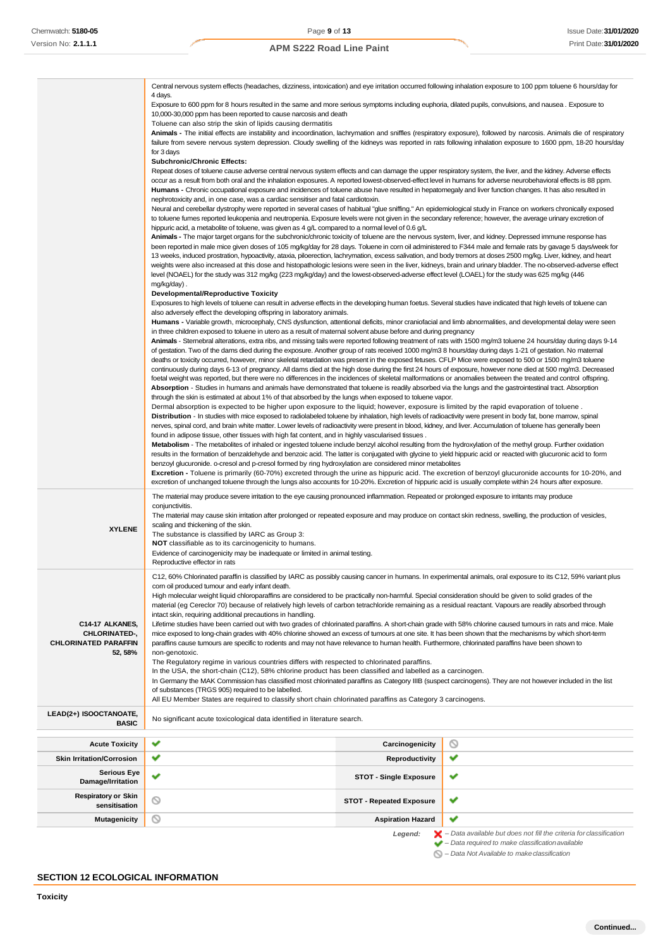|                                         | Central nervous system effects (headaches, dizziness, intoxication) and eye irritation occurred following inhalation exposure to 100 ppm toluene 6 hours/day for                                                                                                                                                            |  |
|-----------------------------------------|-----------------------------------------------------------------------------------------------------------------------------------------------------------------------------------------------------------------------------------------------------------------------------------------------------------------------------|--|
|                                         | 4 days.<br>Exposure to 600 ppm for 8 hours resulted in the same and more serious symptoms including euphoria, dilated pupils, convulsions, and nausea. Exposure to                                                                                                                                                          |  |
|                                         | 10,000-30,000 ppm has been reported to cause narcosis and death                                                                                                                                                                                                                                                             |  |
|                                         | Toluene can also strip the skin of lipids causing dermatitis                                                                                                                                                                                                                                                                |  |
|                                         | Animals - The initial effects are instability and incoordination, lachrymation and sniffles (respiratory exposure), followed by narcosis. Animals die of respiratory                                                                                                                                                        |  |
|                                         | failure from severe nervous system depression. Cloudy swelling of the kidneys was reported in rats following inhalation exposure to 1600 ppm, 18-20 hours/day                                                                                                                                                               |  |
|                                         | for 3 days<br><b>Subchronic/Chronic Effects:</b>                                                                                                                                                                                                                                                                            |  |
|                                         | Repeat doses of toluene cause adverse central nervous system effects and can damage the upper respiratory system, the liver, and the kidney. Adverse effects                                                                                                                                                                |  |
|                                         | occur as a result from both oral and the inhalation exposures. A reported lowest-observed-effect level in humans for adverse neurobehavioral effects is 88 ppm.                                                                                                                                                             |  |
|                                         | <b>Humans -</b> Chronic occupational exposure and incidences of toluene abuse have resulted in hepatomegaly and liver function changes. It has also resulted in                                                                                                                                                             |  |
|                                         | nephrotoxicity and, in one case, was a cardiac sensitiser and fatal cardiotoxin.                                                                                                                                                                                                                                            |  |
|                                         | Neural and cerebellar dystrophy were reported in several cases of habitual "glue sniffing." An epidemiological study in France on workers chronically exposed<br>to toluene fumes reported leukopenia and neutropenia. Exposure levels were not given in the secondary reference; however, the average urinary excretion of |  |
|                                         | hippuric acid, a metabolite of toluene, was given as 4 g/L compared to a normal level of 0.6 g/L                                                                                                                                                                                                                            |  |
|                                         | Animals - The major target organs for the subchronic/chronic toxicity of toluene are the nervous system, liver, and kidney. Depressed immune response has                                                                                                                                                                   |  |
|                                         | been reported in male mice given doses of 105 mg/kg/day for 28 days. Toluene in corn oil administered to F344 male and female rats by gavage 5 days/week for                                                                                                                                                                |  |
|                                         | 13 weeks, induced prostration, hypoactivity, ataxia, piloerection, lachrymation, excess salivation, and body tremors at doses 2500 mg/kg. Liver, kidney, and heart                                                                                                                                                          |  |
|                                         | weights were also increased at this dose and histopathologic lesions were seen in the liver, kidneys, brain and urinary bladder. The no-observed-adverse effect<br>level (NOAEL) for the study was 312 mg/kg (223 mg/kg/day) and the lowest-observed-adverse effect level (LOAEL) for the study was 625 mg/kg (446          |  |
|                                         | mg/kg/day).                                                                                                                                                                                                                                                                                                                 |  |
|                                         | <b>Developmental/Reproductive Toxicity</b>                                                                                                                                                                                                                                                                                  |  |
|                                         | Exposures to high levels of toluene can result in adverse effects in the developing human foetus. Several studies have indicated that high levels of toluene can                                                                                                                                                            |  |
|                                         | also adversely effect the developing offspring in laboratory animals.                                                                                                                                                                                                                                                       |  |
|                                         | Humans - Variable growth, microcephaly, CNS dysfunction, attentional deficits, minor craniofacial and limb abnormalities, and developmental delay were seen<br>in three children exposed to toluene in utero as a result of maternal solvent abuse before and during pregnancy                                              |  |
|                                         | Animals - Stemebral alterations, extra ribs, and missing tails were reported following treatment of rats with 1500 mg/m3 toluene 24 hours/day during days 9-14                                                                                                                                                              |  |
|                                         | of gestation. Two of the dams died during the exposure. Another group of rats received 1000 mg/m3 8 hours/day during days 1-21 of gestation. No maternal                                                                                                                                                                    |  |
|                                         | deaths or toxicity occurred, however, minor skeletal retardation was present in the exposed fetuses. CFLP Mice were exposed to 500 or 1500 mg/m3 toluene                                                                                                                                                                    |  |
|                                         | continuously during days 6-13 of pregnancy. All dams died at the high dose during the first 24 hours of exposure, however none died at 500 mg/m3. Decreased                                                                                                                                                                 |  |
|                                         | foetal weight was reported, but there were no differences in the incidences of skeletal malformations or anomalies between the treated and control offspring.<br>Absorption - Studies in humans and animals have demonstrated that toluene is readily absorbed via the lungs and the gastrointestinal tract. Absorption     |  |
|                                         | through the skin is estimated at about 1% of that absorbed by the lungs when exposed to toluene vapor.                                                                                                                                                                                                                      |  |
|                                         | Dermal absorption is expected to be higher upon exposure to the liquid; however, exposure is limited by the rapid evaporation of toluene.                                                                                                                                                                                   |  |
|                                         | Distribution - In studies with mice exposed to radiolabeled toluene by inhalation, high levels of radioactivity were present in body fat, bone marrow, spinal                                                                                                                                                               |  |
|                                         | nerves, spinal cord, and brain white matter. Lower levels of radioactivity were present in blood, kidney, and liver. Accumulation of toluene has generally been                                                                                                                                                             |  |
|                                         | found in adipose tissue, other tissues with high fat content, and in highly vascularised tissues.<br>Metabolism - The metabolites of inhaled or ingested toluene include benzyl alcohol resulting from the hydroxylation of the methyl group. Further oxidation                                                             |  |
|                                         | results in the formation of benzaldehyde and benzoic acid. The latter is conjugated with glycine to yield hippuric acid or reacted with glucuronic acid to form                                                                                                                                                             |  |
|                                         | benzoyl glucuronide. o-cresol and p-cresol formed by ring hydroxylation are considered minor metabolites                                                                                                                                                                                                                    |  |
|                                         | Excretion - Toluene is primarily (60-70%) excreted through the urine as hippuric acid. The excretion of benzoyl glucuronide accounts for 10-20%, and                                                                                                                                                                        |  |
|                                         | excretion of unchanged toluene through the lungs also accounts for 10-20%. Excretion of hippuric acid is usually complete within 24 hours after exposure.                                                                                                                                                                   |  |
|                                         | The material may produce severe irritation to the eye causing pronounced inflammation. Repeated or prolonged exposure to irritants may produce                                                                                                                                                                              |  |
|                                         | conjunctivitis.<br>The material may cause skin irritation after prolonged or repeated exposure and may produce on contact skin redness, swelling, the production of vesicles,                                                                                                                                               |  |
|                                         | scaling and thickening of the skin.                                                                                                                                                                                                                                                                                         |  |
| <b>XYLENE</b>                           | The substance is classified by IARC as Group 3:                                                                                                                                                                                                                                                                             |  |
|                                         | NOT classifiable as to its carcinogenicity to humans.                                                                                                                                                                                                                                                                       |  |
|                                         |                                                                                                                                                                                                                                                                                                                             |  |
|                                         | Evidence of carcinogenicity may be inadequate or limited in animal testing.                                                                                                                                                                                                                                                 |  |
|                                         | Reproductive effector in rats                                                                                                                                                                                                                                                                                               |  |
|                                         | C12, 60% Chlorinated paraffin is classified by IARC as possibly causing cancer in humans. In experimental animals, oral exposure to its C12, 59% variant plus                                                                                                                                                               |  |
|                                         | com oil produced tumour and early infant death.                                                                                                                                                                                                                                                                             |  |
|                                         | High molecular weight liquid chloroparaffins are considered to be practically non-harmful. Special consideration should be given to solid grades of the<br>material (eg Cereclor 70) because of relatively high levels of carbon tetrachloride remaining as a residual reactant. Vapours are readily absorbed through       |  |
|                                         | intact skin, requiring additional precautions in handling.                                                                                                                                                                                                                                                                  |  |
| C14-17 ALKANES,                         | Lifetime studies have been carried out with two grades of chlorinated paraffins. A short-chain grade with 58% chlorine caused tumours in rats and mice. Male                                                                                                                                                                |  |
| CHLORINATED-,                           | mice exposed to long-chain grades with 40% chlorine showed an excess of tumours at one site. It has been shown that the mechanisms by which short-term                                                                                                                                                                      |  |
| <b>CHLORINATED PARAFFIN</b>             | paraffins cause tumours are specific to rodents and may not have relevance to human health. Furthermore, chlorinated paraffins have been shown to                                                                                                                                                                           |  |
| 52, 58%                                 | non-genotoxic.<br>The Regulatory regime in various countries differs with respected to chlorinated paraffins.                                                                                                                                                                                                               |  |
|                                         | In the USA, the short-chain (C12), 58% chlorine product has been classified and labelled as a carcinogen.                                                                                                                                                                                                                   |  |
|                                         | In Germany the MAK Commission has classified most chlorinated paraffins as Category IIIB (suspect carcinogens). They are not however included in the list                                                                                                                                                                   |  |
|                                         | of substances (TRGS 905) required to be labelled.                                                                                                                                                                                                                                                                           |  |
|                                         | All EU Member States are required to classify short chain chlorinated paraffins as Category 3 carcinogens.                                                                                                                                                                                                                  |  |
| LEAD(2+) ISOOCTANOATE,                  | No significant acute toxicological data identified in literature search.                                                                                                                                                                                                                                                    |  |
| <b>BASIC</b>                            |                                                                                                                                                                                                                                                                                                                             |  |
| <b>Acute Toxicity</b>                   | ◎<br>✔<br>Carcinogenicity                                                                                                                                                                                                                                                                                                   |  |
| <b>Skin Irritation/Corrosion</b>        | ✔<br>v<br>Reproductivity                                                                                                                                                                                                                                                                                                    |  |
| <b>Serious Eye</b><br>Damage/Irritation | ✔<br>✔<br><b>STOT - Single Exposure</b>                                                                                                                                                                                                                                                                                     |  |
| <b>Respiratory or Skin</b>              | O<br>v<br><b>STOT - Repeated Exposure</b>                                                                                                                                                                                                                                                                                   |  |
| sensitisation                           |                                                                                                                                                                                                                                                                                                                             |  |
| <b>Mutagenicity</b>                     | ✔<br>∾<br><b>Aspiration Hazard</b>                                                                                                                                                                                                                                                                                          |  |
|                                         | $\blacktriangleright$ – Data available but does not fill the criteria for classification<br>Legend:<br>$\blacktriangleright$ - Data required to make classification available                                                                                                                                               |  |

# **SECTION 12 ECOLOGICAL INFORMATION**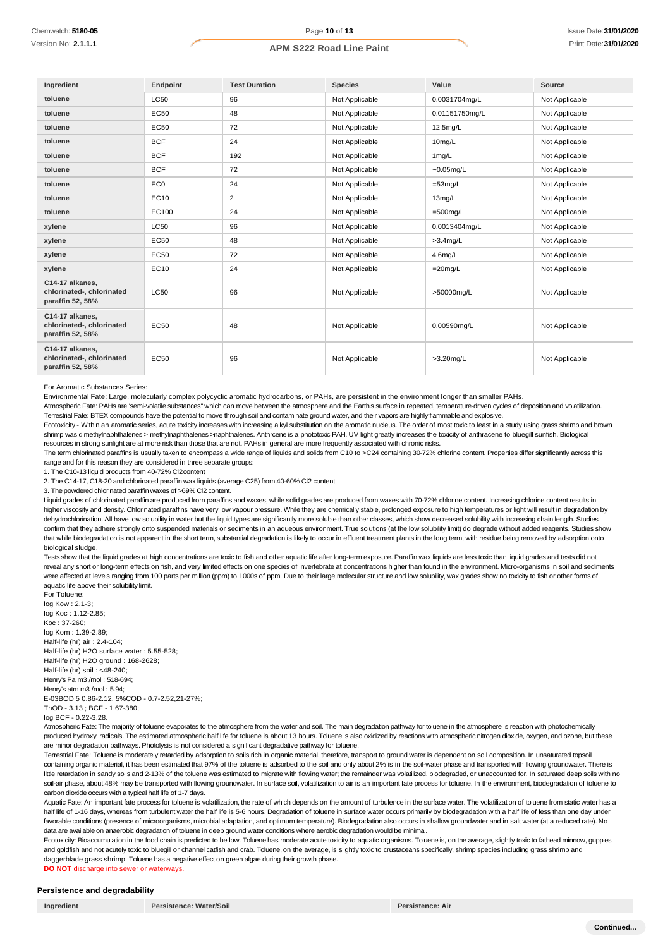| Ingredient                                                       | Endpoint        | <b>Test Duration</b> | <b>Species</b> | Value          | Source         |
|------------------------------------------------------------------|-----------------|----------------------|----------------|----------------|----------------|
| toluene                                                          | <b>LC50</b>     | 96                   | Not Applicable | 0.0031704mg/L  | Not Applicable |
| toluene                                                          | <b>EC50</b>     | 48                   | Not Applicable | 0.01151750mg/L | Not Applicable |
| toluene                                                          | <b>EC50</b>     | 72                   | Not Applicable | 12.5mg/L       | Not Applicable |
| toluene                                                          | <b>BCF</b>      | 24                   | Not Applicable | 10mg/L         | Not Applicable |
| toluene                                                          | <b>BCF</b>      | 192                  | Not Applicable | 1mg/L          | Not Applicable |
| toluene                                                          | <b>BCF</b>      | 72                   | Not Applicable | $-0.05$ mg/L   | Not Applicable |
| toluene                                                          | EC <sub>0</sub> | 24                   | Not Applicable | $=53$ mg/L     | Not Applicable |
| toluene                                                          | EC10            | $\overline{2}$       | Not Applicable | 13mg/L         | Not Applicable |
| toluene                                                          | EC100           | 24                   | Not Applicable | $=500$ mg/L    | Not Applicable |
| xylene                                                           | <b>LC50</b>     | 96                   | Not Applicable | 0.0013404mg/L  | Not Applicable |
| xylene                                                           | <b>EC50</b>     | 48                   | Not Applicable | $>3.4$ mg/L    | Not Applicable |
| xylene                                                           | <b>EC50</b>     | 72                   | Not Applicable | $4.6$ mg/L     | Not Applicable |
| xylene                                                           | <b>EC10</b>     | 24                   | Not Applicable | $=20$ mg/L     | Not Applicable |
| C14-17 alkanes,<br>chlorinated-, chlorinated<br>paraffin 52, 58% | <b>LC50</b>     | 96                   | Not Applicable | >50000mg/L     | Not Applicable |
| C14-17 alkanes,<br>chlorinated-, chlorinated<br>paraffin 52, 58% | <b>EC50</b>     | 48                   | Not Applicable | 0.00590mg/L    | Not Applicable |
| C14-17 alkanes,<br>chlorinated-, chlorinated<br>paraffin 52, 58% | <b>EC50</b>     | 96                   | Not Applicable | $>3.20$ mg/L   | Not Applicable |

For Aromatic Substances Series:

Environmental Fate: Large, molecularly complex polycyclic aromatic hydrocarbons, or PAHs, are persistent in the environment longer than smaller PAHs.

Atmospheric Fate: PAHs are 'semi-volatile substances" which can move between the atmosphere and the Earth's surface in repeated, temperature-driven cycles of deposition and volatilization. Terrestrial Fate: BTEX compounds have the potential to move through soil and contaminate ground water, and their vapors are highly flammable and explosive.

Ecotoxicity - Within an aromatic series, acute toxicity increases with increasing alkyl substitution on the aromatic nucleus. The order of most toxic to least in a study using grass shrimp and brown shrimp was dimethylnaphthalenes > methylnaphthalenes >naphthalenes. Anthrcene is a phototoxic PAH. UV light greatly increases the toxicity of anthracene to bluegill sunfish. Biological resources in strong sunlight are at more risk than those that are not. PAHs in general are more frequently associated with chronic risks.

The term chlorinated paraffins is usually taken to encompass a wide range of liquids and solids from C10 to >C24 containing 30-72% chlorine content. Properties differ significantly across this range and for this reason they are considered in three separate groups:

1. The C10-13 liquid products from 40-72% Cl2content

2. The C14-17, C18-20 and chlorinated paraffin wax liquids (average C25) from 40-60% Cl2 content

3. The powdered chlorinated paraffin waxes of >69% Cl2 content.

Liquid grades of chlorinated paraffin are produced from paraffins and waxes, while solid grades are produced from waxes with 70-72% chlorine content. Increasing chlorine content results in higher viscosity and density. Chlorinated paraffins have very low vapour pressure. While they are chemically stable, prolonged exposure to high temperatures or light will result in degradation by dehydrochlorination. All have low solubility in water but the liquid types are significantly more soluble than other classes, which show decreased solubility with increasing chain length. Studies confirm that they adhere strongly onto suspended materials or sediments in an aqueous environment. True solutions (at the low solubility limit) do degrade without added reagents. Studies show that while biodegradation is not apparent in the short term, substantial degradation is likely to occur in effluent treatment plants in the long term, with residue being removed by adsorption onto biological sludge.

Tests show that the liquid grades at high concentrations are toxic to fish and other aquatic life after long-term exposure. Paraffin wax liquids are less toxic than liquid grades and tests did not reveal any short or long-term effects on fish, and very limited effects on one species of invertebrate at concentrations higher than found in the environment. Micro-organisms in soil and sediments were affected at levels ranging from 100 parts per million (ppm) to 1000s of ppm. Due to their large molecular structure and low solubility, wax grades show no toxicity to fish or other forms of aquatic life above their solubilitylimit. For Toluene:

log Kow : 2.1-3; log Koc : 1.12-2.85; Koc : 37-260; log Kom : 1.39-2.89; Half-life (hr) air : 2.4-104; Half-life (hr) H2O surface water : 5.55-528; Half-life (hr) H2O ground : 168-2628; Half-life (hr) soil : <48-240; Henry's Pa m3 /mol : 518-694; Henry's atm m3 /mol : 5.94; E-03BOD 5 0.86-2.12, 5%COD - 0.7-2.52,21-27%; ThOD - 3.13 ; BCF - 1.67-380; log BCF - 0.22-3.28.

Atmospheric Fate: The majority of toluene evaporates to the atmosphere from the water and soil. The main degradation pathway for toluene in the atmosphere is reaction with photochemically produced hydroxyl radicals. The estimated atmospheric half life for toluene is about 13 hours. Toluene is also oxidized by reactions with atmospheric nitrogen dioxide, oxygen, and ozone, but these are minor degradation pathways. Photolysis is not considered a significant degradative pathway for toluene.

Terrestrial Fate: Toluene is moderately retarded by adsorption to soils rich in organic material, therefore, transport to ground water is dependent on soil composition. In unsaturated topsoil containing organic material, it has been estimated that 97% of the toluene is adsorbed to the soil and only about 2% is in the soil-water phase and transported with flowing groundwater. There is little retardation in sandy soils and 2-13% of the toluene was estimated to migrate with flowing water; the remainder was volatilized, biodegraded, or unaccounted for. In saturated deep soils with no soil-air phase, about 48% may be transported with flowing groundwater. In surface soil, volatilization to air is an important fate process for toluene. In the environment, biodegradation of toluene to carbon dioxide occurs with a typical half life of 1-7 days.

Aquatic Fate: An important fate process for toluene is volatilization, the rate of which depends on the amount of turbulence in the surface water. The volatilization of toluene from static water has a half life of 1-16 days, whereas from turbulent water the half life is 5-6 hours. Degradation of toluene in surface water occurs primarily by biodegradation with a half life of less than one day under favorable conditions (presence of microorganisms, microbial adaptation, and optimum temperature). Biodegradation also occurs in shallow groundwater and in salt water (at a reduced rate). No data are available on anaerobic degradation of toluene in deep ground water conditions where aerobic degradation would be minimal.

Ecotoxicity: Bioaccumulation in the food chain is predicted to be low. Toluene has moderate acute toxicity to aquatic organisms. Toluene is, on the average, slightly toxic to fathead minnow, guppies and goldfish and not acutely toxic to bluegill or channel catfish and crab. Toluene, on the average, is slightly toxic to crustaceans specifically, shrimp species including grass shrimp and daggerblade grass shrimp. Toluene has a negative effect on green algae during their growth phase

**DO NOT** discharge into sewer or waterways

#### **Persistence and degradability**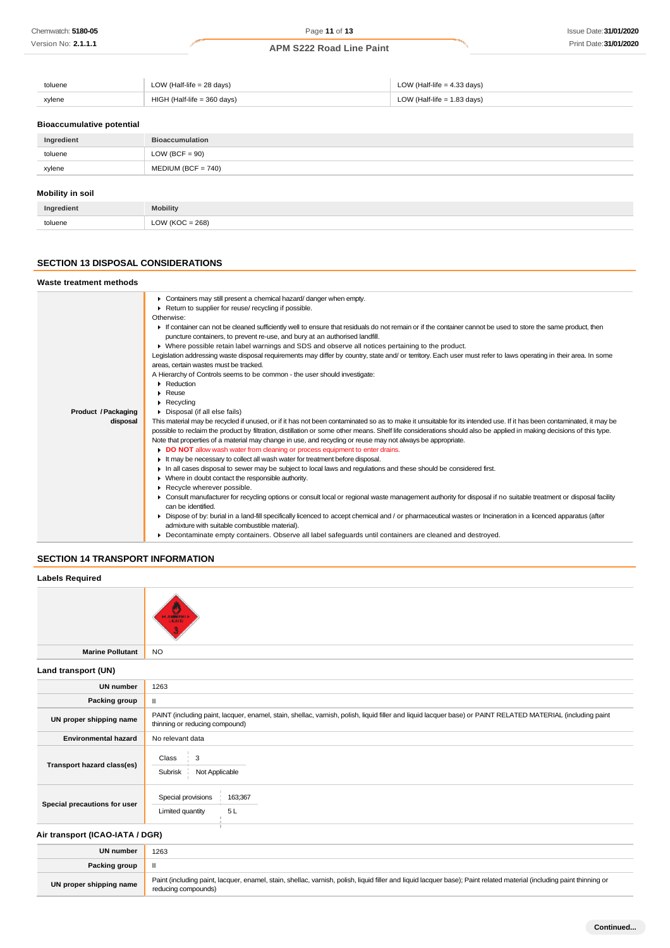| toluene<br>. | LOW (Half-life $= 28$ days) | LOW (Half-life $=$ 4.33 days) |
|--------------|-----------------------------|-------------------------------|
| xylene       | HIGH (Half-life = 360 days) | LOW (Half-life = 1.83 days)   |

#### **Bioaccumulative potential**

| Ingredient              | <b>Bioaccumulation</b> |
|-------------------------|------------------------|
| toluene                 | $LOW (BCF = 90)$       |
| xylene                  | $MEDIUM (BCF = 740)$   |
| <b>Mobility in soil</b> |                        |

| Ingredient | <b>Mobility</b>     |
|------------|---------------------|
| toluene    | $= 268$<br>LOW (KOC |

#### **SECTION 13 DISPOSAL CONSIDERATIONS**

#### **Waste treatment methods** Containers may still present a chemical hazard/ danger when empty. ▶ Return to supplier for reuse/ recycling if possible. Otherwise: If container can not be cleaned sufficiently well to ensure that residuals do not remain or if the container cannot be used to store the same product, then puncture containers, to prevent re-use, and bury at an authorised landfill. Where possible retain label warnings and SDS and observe all notices pertaining to the product. Legislation addressing waste disposal requirements may differ by country, state and/ or territory. Each user must refer to laws operating in their area. In some areas, certain wastes must be tracked. A Hierarchy of Controls seems to be common - the user should investigate: ▶ Reduction Reuse **Recycling Product /Packaging** Disposal (if all else fails) This material may be recycled if unused, or if it has not been contaminated so as to make it unsuitable for its intended use. If it has been contaminated, it may be **disposal** possible to reclaim the product by filtration, distillation or some other means. Shelf life considerations should also be applied in making decisions of this type. Note that properties of a material may change in use, and recycling or reuse may not always be appropriate. **DO NOT** allow wash water from cleaning or process equipment to enter drains. It may be necessary to collect all wash water for treatment before disposal. In all cases disposal to sewer may be subject to local laws and regulations and these should be considered first. Where in doubt contact the responsible authority. Recycle wherever possible.  $\bullet$ Consult manufacturer for recycling options or consult local or regional waste management authority for disposal if no suitable treatment or disposal facility can be identified. Dispose of by: burial in a land-fill specifically licenced to accept chemical and / or pharmaceutical wastes or Incineration in a licenced apparatus (after admixture with suitable combustible material). Decontaminate empty containers. Observe all label safeguards until containers are cleaned and destroyed.

### **SECTION 14 TRANSPORT INFORMATION**

| <b>Labels Required</b>          |                                                                                                                                                                                               |
|---------------------------------|-----------------------------------------------------------------------------------------------------------------------------------------------------------------------------------------------|
|                                 | <b>HIAWARI</b><br>LIGHTO.                                                                                                                                                                     |
| <b>Marine Pollutant</b>         | <b>NO</b>                                                                                                                                                                                     |
| Land transport (UN)             |                                                                                                                                                                                               |
| <b>UN number</b>                | 1263                                                                                                                                                                                          |
| Packing group                   | $\mathbf{II}$                                                                                                                                                                                 |
| UN proper shipping name         | PAINT (including paint, lacquer, enamel, stain, shellac, varnish, polish, liquid filler and liquid lacquer base) or PAINT RELATED MATERIAL (including paint<br>thinning or reducing compound) |
| <b>Environmental hazard</b>     | No relevant data                                                                                                                                                                              |
| Transport hazard class(es)      | 3<br>Class<br>Not Applicable<br>Subrisk                                                                                                                                                       |
| Special precautions for user    | Special provisions<br>163;367<br>Limited quantity<br>5L                                                                                                                                       |
| Air transport (ICAO-IATA / DGR) |                                                                                                                                                                                               |
| <b>UN number</b>                | 1263                                                                                                                                                                                          |
| Packing group                   | $\mathbf{II}$                                                                                                                                                                                 |
| UN proper shipping name         | Paint (including paint, lacquer, enamel, stain, shellac, varnish, polish, liquid filler and liquid lacquer base); Paint related material (including paint thinning or<br>reducing compounds)  |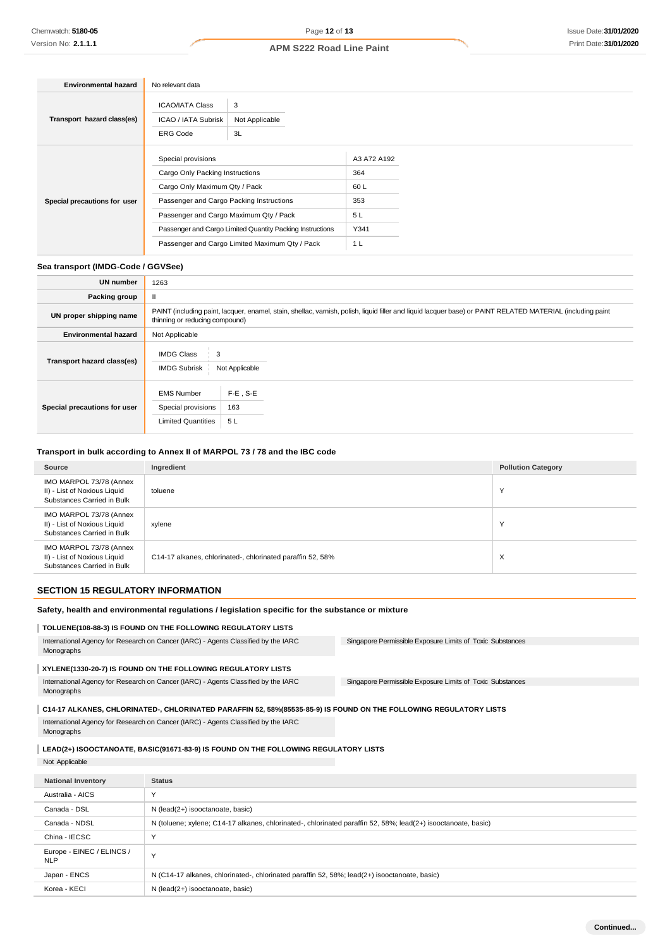| <b>Environmental hazard</b>  | No relevant data                                                                                                                                                                                                                                                                            |                                                                   |
|------------------------------|---------------------------------------------------------------------------------------------------------------------------------------------------------------------------------------------------------------------------------------------------------------------------------------------|-------------------------------------------------------------------|
| Transport hazard class(es)   | <b>ICAO/IATA Class</b><br>3<br>Not Applicable<br>ICAO / IATA Subrisk<br><b>ERG Code</b><br>3L                                                                                                                                                                                               |                                                                   |
| Special precautions for user | Special provisions<br>Cargo Only Packing Instructions<br>Cargo Only Maximum Qty / Pack<br>Passenger and Cargo Packing Instructions<br>Passenger and Cargo Maximum Qty / Pack<br>Passenger and Cargo Limited Quantity Packing Instructions<br>Passenger and Cargo Limited Maximum Qty / Pack | A3 A72 A192<br>364<br>60 L<br>353<br>5L<br>Y341<br>1 <sub>L</sub> |

# **Sea transport (IMDG-Code / GGVSee)**

| <b>UN number</b>             | 1263                                                                                                                                                                                          |                          |  |
|------------------------------|-----------------------------------------------------------------------------------------------------------------------------------------------------------------------------------------------|--------------------------|--|
| Packing group                | $\mathbf{I}$                                                                                                                                                                                  |                          |  |
| UN proper shipping name      | PAINT (including paint, lacquer, enamel, stain, shellac, varnish, polish, liquid filler and liquid lacquer base) or PAINT RELATED MATERIAL (including paint<br>thinning or reducing compound) |                          |  |
| <b>Environmental hazard</b>  | Not Applicable                                                                                                                                                                                |                          |  |
| Transport hazard class(es)   | <b>IMDG Class</b><br>3<br><b>IMDG Subrisk</b><br>Not Applicable                                                                                                                               |                          |  |
| Special precautions for user | <b>EMS Number</b><br>Special provisions<br><b>Limited Quantities</b>                                                                                                                          | $F-E$ , S-E<br>163<br>5L |  |

# **Transport in bulk according to Annex II of MARPOL 73 / 78 and the IBC code**

| Source                                                                                | Ingredient                                                 | <b>Pollution Category</b> |
|---------------------------------------------------------------------------------------|------------------------------------------------------------|---------------------------|
| IMO MARPOL 73/78 (Annex<br>II) - List of Noxious Liquid<br>Substances Carried in Bulk | toluene                                                    | $\checkmark$              |
| IMO MARPOL 73/78 (Annex<br>II) - List of Noxious Liquid<br>Substances Carried in Bulk | xylene                                                     | $\checkmark$              |
| IMO MARPOL 73/78 (Annex<br>II) - List of Noxious Liquid<br>Substances Carried in Bulk | C14-17 alkanes, chlorinated-, chlorinated paraffin 52, 58% | X                         |

# **SECTION 15 REGULATORY INFORMATION**

Korea - KECI N (lead(2+) isooctanoate, basic)

| Safety, health and environmental regulations / legislation specific for the substance or mixture                  |                                                                                                               |                                                           |  |  |
|-------------------------------------------------------------------------------------------------------------------|---------------------------------------------------------------------------------------------------------------|-----------------------------------------------------------|--|--|
|                                                                                                                   | TOLUENE(108-88-3) IS FOUND ON THE FOLLOWING REGULATORY LISTS                                                  |                                                           |  |  |
| International Agency for Research on Cancer (IARC) - Agents Classified by the IARC<br>Monographs                  |                                                                                                               | Singapore Permissible Exposure Limits of Toxic Substances |  |  |
| XYLENE(1330-20-7) IS FOUND ON THE FOLLOWING REGULATORY LISTS                                                      |                                                                                                               |                                                           |  |  |
| International Agency for Research on Cancer (IARC) - Agents Classified by the IARC<br>Monographs                  |                                                                                                               | Singapore Permissible Exposure Limits of Toxic Substances |  |  |
| C14-17 ALKANES, CHLORINATED-, CHLORINATED PARAFFIN 52, 58%(85535-85-9) IS FOUND ON THE FOLLOWING REGULATORY LISTS |                                                                                                               |                                                           |  |  |
| International Agency for Research on Cancer (IARC) - Agents Classified by the IARC<br>Monographs                  |                                                                                                               |                                                           |  |  |
| LEAD(2+) ISOOCTANOATE, BASIC(91671-83-9) IS FOUND ON THE FOLLOWING REGULATORY LISTS                               |                                                                                                               |                                                           |  |  |
| Not Applicable                                                                                                    |                                                                                                               |                                                           |  |  |
| <b>National Inventory</b>                                                                                         | <b>Status</b>                                                                                                 |                                                           |  |  |
| Australia - AICS                                                                                                  | Y                                                                                                             |                                                           |  |  |
| Canada - DSL                                                                                                      | N (lead(2+) isooctanoate, basic)                                                                              |                                                           |  |  |
| Canada - NDSL                                                                                                     | N (toluene; xylene; C14-17 alkanes, chlorinated-, chlorinated paraffin 52, 58%; lead(2+) isooctanoate, basic) |                                                           |  |  |
| China - IECSC                                                                                                     | Y                                                                                                             |                                                           |  |  |
| Europe - EINEC / ELINCS /<br><b>NLP</b>                                                                           | Y                                                                                                             |                                                           |  |  |

Japan - ENCS N (C14-17 alkanes, chlorinated-, chlorinated paraffin 52, 58%; lead(2+) isooctanoate, basic)